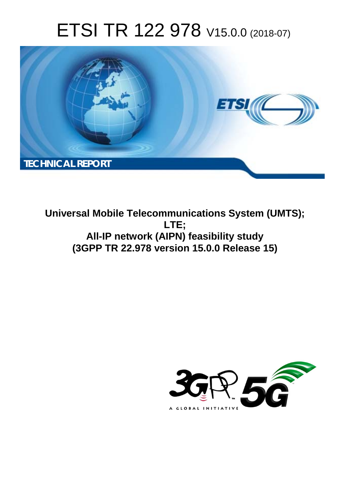# ETSI TR 122 978 V15.0.0 (2018-07)



**Universal Mobile Telecommunications System (UMTS); LTE; All-IP network (AIPN) feasibility study (3GPP TR 22.978 version 15.0.0 Release 15)** 

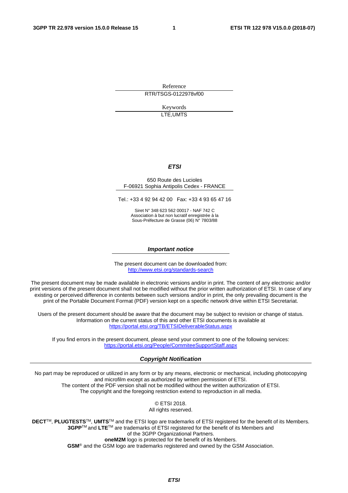Reference RTR/TSGS-0122978vf00

> Keywords LTE,UMTS

#### *ETSI*

#### 650 Route des Lucioles F-06921 Sophia Antipolis Cedex - FRANCE

Tel.: +33 4 92 94 42 00 Fax: +33 4 93 65 47 16

Siret N° 348 623 562 00017 - NAF 742 C Association à but non lucratif enregistrée à la Sous-Préfecture de Grasse (06) N° 7803/88

#### *Important notice*

The present document can be downloaded from: <http://www.etsi.org/standards-search>

The present document may be made available in electronic versions and/or in print. The content of any electronic and/or print versions of the present document shall not be modified without the prior written authorization of ETSI. In case of any existing or perceived difference in contents between such versions and/or in print, the only prevailing document is the print of the Portable Document Format (PDF) version kept on a specific network drive within ETSI Secretariat.

Users of the present document should be aware that the document may be subject to revision or change of status. Information on the current status of this and other ETSI documents is available at <https://portal.etsi.org/TB/ETSIDeliverableStatus.aspx>

If you find errors in the present document, please send your comment to one of the following services: <https://portal.etsi.org/People/CommiteeSupportStaff.aspx>

#### *Copyright Notification*

No part may be reproduced or utilized in any form or by any means, electronic or mechanical, including photocopying and microfilm except as authorized by written permission of ETSI. The content of the PDF version shall not be modified without the written authorization of ETSI. The copyright and the foregoing restriction extend to reproduction in all media.

> © ETSI 2018. All rights reserved.

**DECT**TM, **PLUGTESTS**TM, **UMTS**TM and the ETSI logo are trademarks of ETSI registered for the benefit of its Members. **3GPP**TM and **LTE**TM are trademarks of ETSI registered for the benefit of its Members and of the 3GPP Organizational Partners. **oneM2M** logo is protected for the benefit of its Members.

**GSM**® and the GSM logo are trademarks registered and owned by the GSM Association.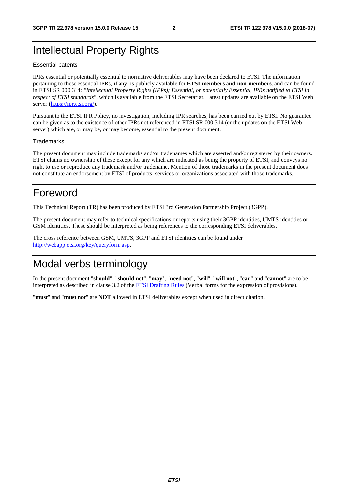# Intellectual Property Rights

#### Essential patents

IPRs essential or potentially essential to normative deliverables may have been declared to ETSI. The information pertaining to these essential IPRs, if any, is publicly available for **ETSI members and non-members**, and can be found in ETSI SR 000 314: *"Intellectual Property Rights (IPRs); Essential, or potentially Essential, IPRs notified to ETSI in respect of ETSI standards"*, which is available from the ETSI Secretariat. Latest updates are available on the ETSI Web server ([https://ipr.etsi.org/\)](https://ipr.etsi.org/).

Pursuant to the ETSI IPR Policy, no investigation, including IPR searches, has been carried out by ETSI. No guarantee can be given as to the existence of other IPRs not referenced in ETSI SR 000 314 (or the updates on the ETSI Web server) which are, or may be, or may become, essential to the present document.

#### **Trademarks**

The present document may include trademarks and/or tradenames which are asserted and/or registered by their owners. ETSI claims no ownership of these except for any which are indicated as being the property of ETSI, and conveys no right to use or reproduce any trademark and/or tradename. Mention of those trademarks in the present document does not constitute an endorsement by ETSI of products, services or organizations associated with those trademarks.

# Foreword

This Technical Report (TR) has been produced by ETSI 3rd Generation Partnership Project (3GPP).

The present document may refer to technical specifications or reports using their 3GPP identities, UMTS identities or GSM identities. These should be interpreted as being references to the corresponding ETSI deliverables.

The cross reference between GSM, UMTS, 3GPP and ETSI identities can be found under [http://webapp.etsi.org/key/queryform.asp.](http://webapp.etsi.org/key/queryform.asp)

# Modal verbs terminology

In the present document "**should**", "**should not**", "**may**", "**need not**", "**will**", "**will not**", "**can**" and "**cannot**" are to be interpreted as described in clause 3.2 of the [ETSI Drafting Rules](https://portal.etsi.org/Services/editHelp!/Howtostart/ETSIDraftingRules.aspx) (Verbal forms for the expression of provisions).

"**must**" and "**must not**" are **NOT** allowed in ETSI deliverables except when used in direct citation.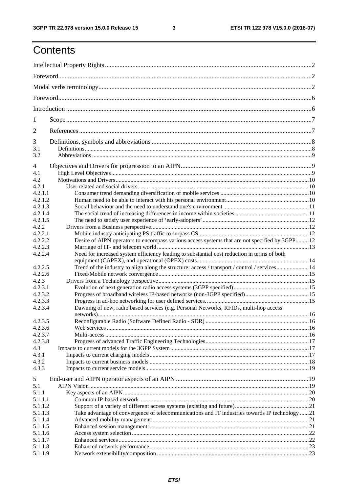$\mathbf{3}$ 

# Contents

| 1              |                                                                                                |  |  |  |  |  |  |  |
|----------------|------------------------------------------------------------------------------------------------|--|--|--|--|--|--|--|
| $\overline{2}$ |                                                                                                |  |  |  |  |  |  |  |
| 3              |                                                                                                |  |  |  |  |  |  |  |
| 3.1<br>3.2     |                                                                                                |  |  |  |  |  |  |  |
| 4              |                                                                                                |  |  |  |  |  |  |  |
| 4.1            |                                                                                                |  |  |  |  |  |  |  |
| 4.2            |                                                                                                |  |  |  |  |  |  |  |
| 4.2.1          |                                                                                                |  |  |  |  |  |  |  |
| 4.2.1.1        |                                                                                                |  |  |  |  |  |  |  |
| 4.2.1.2        |                                                                                                |  |  |  |  |  |  |  |
| 4.2.1.3        |                                                                                                |  |  |  |  |  |  |  |
| 4.2.1.4        |                                                                                                |  |  |  |  |  |  |  |
| 4.2.1.5        |                                                                                                |  |  |  |  |  |  |  |
| 4.2.2          |                                                                                                |  |  |  |  |  |  |  |
| 4.2.2.1        |                                                                                                |  |  |  |  |  |  |  |
| 4.2.2.2        | Desire of AIPN operators to encompass various access systems that are not specified by 3GPP12  |  |  |  |  |  |  |  |
| 4.2.2.3        |                                                                                                |  |  |  |  |  |  |  |
| 4.2.2.4        | Need for increased system efficiency leading to substantial cost reduction in terms of both    |  |  |  |  |  |  |  |
| 4.2.2.5        | Trend of the industry to align along the structure: access / transport / control / services14  |  |  |  |  |  |  |  |
| 4.2.2.6        |                                                                                                |  |  |  |  |  |  |  |
| 4.2.3          |                                                                                                |  |  |  |  |  |  |  |
| 4.2.3.1        |                                                                                                |  |  |  |  |  |  |  |
| 4.2.3.2        |                                                                                                |  |  |  |  |  |  |  |
| 4.2.3.3        |                                                                                                |  |  |  |  |  |  |  |
| 4.2.3.4        | Dawning of new, radio based services (e.g. Personal Networks, RFIDs, multi-hop access          |  |  |  |  |  |  |  |
|                |                                                                                                |  |  |  |  |  |  |  |
|                |                                                                                                |  |  |  |  |  |  |  |
| 4.2.3.5        |                                                                                                |  |  |  |  |  |  |  |
| 4.2.3.6        |                                                                                                |  |  |  |  |  |  |  |
| 4.2.3.7        |                                                                                                |  |  |  |  |  |  |  |
| 4.2.3.8        |                                                                                                |  |  |  |  |  |  |  |
| 4.3            |                                                                                                |  |  |  |  |  |  |  |
| 4.3.1          |                                                                                                |  |  |  |  |  |  |  |
| 4.3.2          |                                                                                                |  |  |  |  |  |  |  |
| 4.3.3          |                                                                                                |  |  |  |  |  |  |  |
| 5              |                                                                                                |  |  |  |  |  |  |  |
| 5.1            |                                                                                                |  |  |  |  |  |  |  |
| 5.1.1          |                                                                                                |  |  |  |  |  |  |  |
| 5.1.1.1        |                                                                                                |  |  |  |  |  |  |  |
| 5.1.1.2        |                                                                                                |  |  |  |  |  |  |  |
| 5.1.1.3        | Take advantage of convergence of telecommunications and IT industries towards IP technology 21 |  |  |  |  |  |  |  |
| 5.1.1.4        |                                                                                                |  |  |  |  |  |  |  |
| 5.1.1.5        |                                                                                                |  |  |  |  |  |  |  |
| 5.1.1.6        |                                                                                                |  |  |  |  |  |  |  |
| 5.1.1.7        |                                                                                                |  |  |  |  |  |  |  |
| 5.1.1.8        |                                                                                                |  |  |  |  |  |  |  |
| 5.1.1.9        |                                                                                                |  |  |  |  |  |  |  |
|                |                                                                                                |  |  |  |  |  |  |  |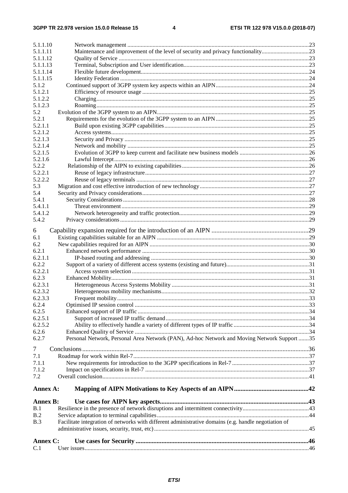| 5.1.1.10        |                                                                                                      |  |
|-----------------|------------------------------------------------------------------------------------------------------|--|
| 5.1.1.11        | Maintenance and improvement of the level of security and privacy functionality23                     |  |
| 5.1.1.12        |                                                                                                      |  |
| 5.1.1.13        |                                                                                                      |  |
| 5.1.1.14        |                                                                                                      |  |
| 5.1.1.15        |                                                                                                      |  |
| 5.1.2           |                                                                                                      |  |
| 5.1.2.1         |                                                                                                      |  |
| 5.1.2.2         |                                                                                                      |  |
| 5.1.2.3         |                                                                                                      |  |
| 5.2             |                                                                                                      |  |
| 5.2.1           |                                                                                                      |  |
| 5.2.1.1         |                                                                                                      |  |
| 5.2.1.2         |                                                                                                      |  |
| 5.2.1.3         |                                                                                                      |  |
| 5.2.1.4         |                                                                                                      |  |
| 5.2.1.5         |                                                                                                      |  |
| 5.2.1.6         |                                                                                                      |  |
| 5.2.2           |                                                                                                      |  |
| 5.2.2.1         |                                                                                                      |  |
| 5.2.2.2         |                                                                                                      |  |
| 5.3             |                                                                                                      |  |
| 5.4             |                                                                                                      |  |
| 5.4.1           |                                                                                                      |  |
| 5.4.1.1         |                                                                                                      |  |
| 5.4.1.2         |                                                                                                      |  |
| 5.4.2           |                                                                                                      |  |
|                 |                                                                                                      |  |
| 6               |                                                                                                      |  |
| 6.1             |                                                                                                      |  |
| 6.2             |                                                                                                      |  |
| 6.2.1           |                                                                                                      |  |
| 6.2.1.1         |                                                                                                      |  |
| 6.2.2           |                                                                                                      |  |
| 6.2.2.1         |                                                                                                      |  |
| 6.2.3           |                                                                                                      |  |
| 6.2.3.1         |                                                                                                      |  |
| 6.2.3.2         |                                                                                                      |  |
| 6.2.3.3         |                                                                                                      |  |
| 6.2.4           |                                                                                                      |  |
| 6.2.5           |                                                                                                      |  |
| 6.2.5.1         |                                                                                                      |  |
| 6.2.5.2         |                                                                                                      |  |
| 6.2.6           |                                                                                                      |  |
| 6.2.7           | Personal Network, Personal Area Network (PAN), Ad-hoc Network and Moving Network Support 35          |  |
| $\tau$          |                                                                                                      |  |
| 7.1             |                                                                                                      |  |
| 7.1.1           |                                                                                                      |  |
| 7.1.2           |                                                                                                      |  |
| 7.2             |                                                                                                      |  |
|                 |                                                                                                      |  |
| Annex A:        |                                                                                                      |  |
|                 |                                                                                                      |  |
| <b>Annex B:</b> |                                                                                                      |  |
| B.1             |                                                                                                      |  |
| B.2             |                                                                                                      |  |
| B.3             | Facilitate integration of networks with different administrative domains (e.g. handle negotiation of |  |
|                 |                                                                                                      |  |
|                 |                                                                                                      |  |
| Annex C:        |                                                                                                      |  |
| C.1             |                                                                                                      |  |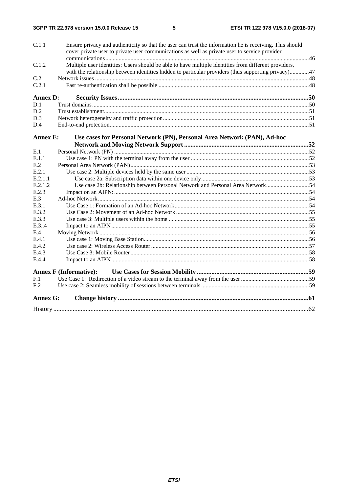| C.1.1           | Ensure privacy and authenticity so that the user can trust the information he is receiving. This should<br>cover private user to private user communications as well as private user to service provider |  |
|-----------------|----------------------------------------------------------------------------------------------------------------------------------------------------------------------------------------------------------|--|
|                 |                                                                                                                                                                                                          |  |
| C.1.2           | Multiple user identities: Users should be able to have multiple identities from different providers,                                                                                                     |  |
|                 | with the relationship between identities hidden to particular providers (thus supporting privacy)47                                                                                                      |  |
| C.2             |                                                                                                                                                                                                          |  |
| C.2.1           |                                                                                                                                                                                                          |  |
| <b>Annex D:</b> |                                                                                                                                                                                                          |  |
| D.1             |                                                                                                                                                                                                          |  |
| D.2             |                                                                                                                                                                                                          |  |
| D.3             |                                                                                                                                                                                                          |  |
| D.4             |                                                                                                                                                                                                          |  |
| <b>Annex E:</b> | Use cases for Personal Network (PN), Personal Area Network (PAN), Ad-hoc                                                                                                                                 |  |
|                 |                                                                                                                                                                                                          |  |
| E.1             |                                                                                                                                                                                                          |  |
| E.1.1           |                                                                                                                                                                                                          |  |
| E.2             |                                                                                                                                                                                                          |  |
| E.2.1           |                                                                                                                                                                                                          |  |
| E.2.1.1         |                                                                                                                                                                                                          |  |
| E.2.1.2         | Use case 2b: Relationship between Personal Network and Personal Area Network54                                                                                                                           |  |
| E.2.3           |                                                                                                                                                                                                          |  |
| E.3             |                                                                                                                                                                                                          |  |
| E.3.1           |                                                                                                                                                                                                          |  |
| E.3.2           |                                                                                                                                                                                                          |  |
| E.3.3           |                                                                                                                                                                                                          |  |
| E.3.4           |                                                                                                                                                                                                          |  |
| E.4             |                                                                                                                                                                                                          |  |
| E.4.1           |                                                                                                                                                                                                          |  |
| E.4.2           |                                                                                                                                                                                                          |  |
| E.4.3           |                                                                                                                                                                                                          |  |
| E.4.4           |                                                                                                                                                                                                          |  |
|                 | <b>Annex F (Informative):</b>                                                                                                                                                                            |  |
| F.1             |                                                                                                                                                                                                          |  |
| F <sub>.2</sub> |                                                                                                                                                                                                          |  |
| <b>Annex G:</b> |                                                                                                                                                                                                          |  |
|                 |                                                                                                                                                                                                          |  |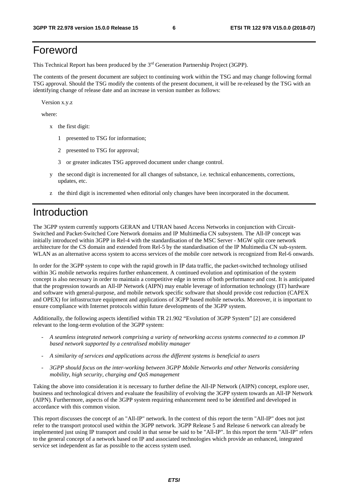# Foreword

This Technical Report has been produced by the 3rd Generation Partnership Project (3GPP).

The contents of the present document are subject to continuing work within the TSG and may change following formal TSG approval. Should the TSG modify the contents of the present document, it will be re-released by the TSG with an identifying change of release date and an increase in version number as follows:

Version x.y.z

where:

- x the first digit:
	- 1 presented to TSG for information;
	- 2 presented to TSG for approval;
	- 3 or greater indicates TSG approved document under change control.
- y the second digit is incremented for all changes of substance, i.e. technical enhancements, corrections, updates, etc.
- z the third digit is incremented when editorial only changes have been incorporated in the document.

# Introduction

The 3GPP system currently supports GERAN and UTRAN based Access Networks in conjunction with Circuit-Switched and Packet-Switched Core Network domains and IP Multimedia CN subsystem. The All-IP concept was initially introduced within 3GPP in Rel-4 with the standardisation of the MSC Server - MGW split core network architecture for the CS domain and extended from Rel-5 by the standardisation of the IP Multimedia CN sub-system. WLAN as an alternative access system to access services of the mobile core network is recognized from Rel-6 onwards.

In order for the 3GPP system to cope with the rapid growth in IP data traffic, the packet-switched technology utilised within 3G mobile networks requires further enhancement. A continued evolution and optimisation of the system concept is also necessary in order to maintain a competitive edge in terms of both performance and cost. It is anticipated that the progression towards an All-IP Network (AIPN) may enable leverage of information technology (IT) hardware and software with general-purpose, and mobile network specific software that should provide cost reduction (CAPEX and OPEX) for infrastructure equipment and applications of 3GPP based mobile networks. Moreover, it is important to ensure compliance with Internet protocols within future developments of the 3GPP system.

Additionally, the following aspects identified within TR 21.902 "Evolution of 3GPP System" [2] are considered relevant to the long-term evolution of the 3GPP system:

- *A seamless integrated network comprising a variety of networking access systems connected to a common IP based network supported by a centralised mobility manager*
- *A similarity of services and applications across the different systems is beneficial to users*
- *3GPP should focus on the inter-working between 3GPP Mobile Networks and other Networks considering mobility, high security, charging and QoS management*

Taking the above into consideration it is necessary to further define the All-IP Network (AIPN) concept, explore user, business and technological drivers and evaluate the feasibility of evolving the 3GPP system towards an All-IP Network (AIPN). Furthermore, aspects of the 3GPP system requiring enhancement need to be identified and developed in accordance with this common vision.

This report discusses the concept of an "All-IP" network. In the context of this report the term "All-IP" does not just refer to the transport protocol used within the 3GPP network. 3GPP Release 5 and Release 6 network can already be implemented just using IP transport and could in that sense be said to be "All-IP". In this report the term "All-IP" refers to the general concept of a network based on IP and associated technologies which provide an enhanced, integrated service set independent as far as possible to the access system used.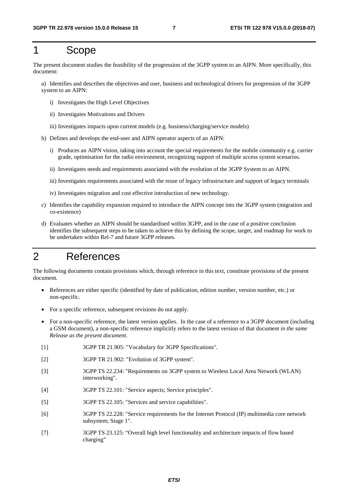# 1 Scope

The present document studies the feasibility of the progression of the 3GPP system to an AIPN. More specifically, this document:

a) Identifies and describes the objectives and user, business and technological drivers for progression of the 3GPP system to an AIPN:

- i) Investigates the High Level Objectives
- ii) Investigates Motivations and Drivers
- iii) Investigates impacts upon current models (e.g. business/charging/service models)
- b) Defines and develops the end-user and AIPN operator aspects of an AIPN:
	- i) Produces an AIPN vision, taking into account the special requirements for the mobile community e.g. carrier grade, optimisation for the radio environment, recognizing support of multiple access system scenarios.
	- ii) Investigates needs and requirements associated with the evolution of the 3GPP System to an AIPN.
	- iii) Investigates requirements associated with the reuse of legacy infrastructure and support of legacy terminals
	- iv) Investigates migration and cost effective introduction of new technology.
- c) Identifies the capability expansion required to introduce the AIPN concept into the 3GPP system (migration and co-existence)
- d) Evaluates whether an AIPN should be standardised within 3GPP, and in the case of a positive conclusion identifies the subsequent steps to be taken to achieve this by defining the scope, target, and roadmap for work to be undertaken within Rel-7 and future 3GPP releases.

# 2 References

The following documents contain provisions which, through reference in this text, constitute provisions of the present document.

- References are either specific (identified by date of publication, edition number, version number, etc.) or non-specific.
- For a specific reference, subsequent revisions do not apply.
- For a non-specific reference, the latest version applies. In the case of a reference to a 3GPP document (including a GSM document), a non-specific reference implicitly refers to the latest version of that document *in the same Release as the present document*.
- [1] 3GPP TR 21.905: "Vocabulary for 3GPP Specifications".
- [2] 3GPP TR 21.902: "Evolution of 3GPP system".
- [3] 3GPP TS 22.234: "Requirements on 3GPP system to Wireless Local Area Network (WLAN) interworking".
- [4] 3GPP TS 22.101: "Service aspects; Service principles".
- [5] 3GPP TS 22.105: "Services and service capabilities".
- [6] 3GPP TS 22.228: "Service requirements for the Internet Protocol (IP) multimedia core network subsystem; Stage 1".
- [7] 3GPP TS 23.125: "Overall high level functionality and architecture impacts of flow based charging"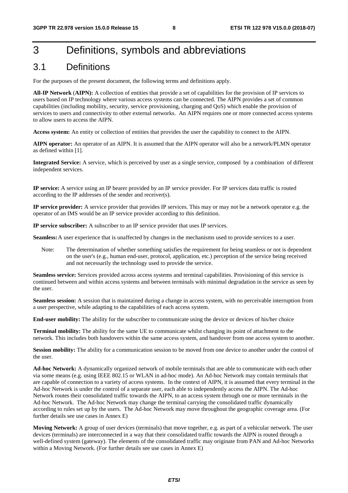# 3 Definitions, symbols and abbreviations

## 3.1 Definitions

For the purposes of the present document, the following terms and definitions apply.

**All-IP Network** (**AIPN):** A collection of entities that provide a set of capabilities for the provision of IP services to users based on IP technology where various access systems can be connected. The AIPN provides a set of common capabilities (including mobility, security, service provisioning, charging and QoS) which enable the provision of services to users and connectivity to other external networks. An AIPN requires one or more connected access systems to allow users to access the AIPN.

**Access system:** An entity or collection of entities that provides the user the capability to connect to the AIPN.

**AIPN operator:** An operator of an AIPN. It is assumed that the AIPN operator will also be a network/PLMN operator as defined within [1].

**Integrated Service:** A service, which is perceived by user as a single service, composed by a combination of different independent services.

**IP service:** A service using an IP bearer provided by an IP service provider. For IP services data traffic is routed according to the IP addresses of the sender and receiver(s).

**IP service provider:** A service provider that provides IP services. This may or may not be a network operator e.g. the operator of an IMS would be an IP service provider according to this definition.

**IP service subscriber:** A subscriber to an IP service provider that uses IP services.

**Seamless:** A user experience that is unaffected by changes in the mechanisms used to provide services to a user.

Note: The determination of whether something satisfies the requirement for being seamless or not is dependent on the user's (e.g., human end-user, protocol, application, etc.) perception of the service being received and not necessarily the technology used to provide the service.

**Seamless service:** Services provided across access systems and terminal capabilities. Provisioning of this service is continued between and within access systems and between terminals with minimal degradation in the service as seen by the user.

**Seamless session:** A session that is maintained during a change in access system, with no perceivable interruption from a user perspective, while adapting to the capabilities of each access system.

**End-user mobility:** The ability for the subscriber to communicate using the device or devices of his/her choice

**Terminal mobility:** The ability for the same UE to communicate whilst changing its point of attachment to the network. This includes both handovers within the same access system, and handover from one access system to another.

**Session mobility:** The ability for a communication session to be moved from one device to another under the control of the user.

**Ad-hoc Network:** A dynamically organized network of mobile terminals that are able to communicate with each other via some means (e.g. using IEEE 802.15 or WLAN in ad-hoc mode). An Ad-hoc Network may contain terminals that are capable of connection to a variety of access systems. In the context of AIPN, it is assumed that every terminal in the Ad-hoc Network is under the control of a separate user, each able to independently access the AIPN. The Ad-hoc Network routes their consolidated traffic towards the AIPN, to an access system through one or more terminals in the Ad-hoc Network. The Ad-hoc Network may change the terminal carrying the consolidated traffic dynamically according to rules set up by the users. The Ad-hoc Network may move throughout the geographic coverage area. (For further details see use cases in Annex E)

**Moving Network:** A group of user devices (terminals) that move together, e.g. as part of a vehicular network. The user devices (terminals) are interconnected in a way that their consolidated traffic towards the AIPN is routed through a well-defined system (gateway). The elements of the consolidated traffic may originate from PAN and Ad-hoc Networks within a Moving Network. (For further details see use cases in Annex E)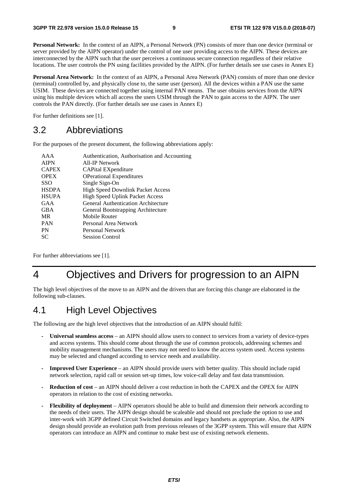**Personal Network:** In the context of an AIPN, a Personal Network (PN) consists of more than one device (terminal or server provided by the AIPN operator) under the control of one user providing access to the AIPN. These devices are interconnected by the AIPN such that the user perceives a continuous secure connection regardless of their relative locations. The user controls the PN using facilities provided by the AIPN. (For further details see use cases in Annex E)

**Personal Area Network:** In the context of an AIPN, a Personal Area Network (PAN) consists of more than one device (terminal) controlled by, and physically close to, the same user (person). All the devices within a PAN use the same USIM. These devices are connected together using internal PAN means. The user obtains services from the AIPN using his multiple devices which all access the users USIM through the PAN to gain access to the AIPN. The user controls the PAN directly. (For further details see use cases in Annex E)

For further definitions see [1].

## 3.2 Abbreviations

For the purposes of the present document, the following abbreviations apply:

| AAA          | Authentication, Authorisation and Accounting |
|--------------|----------------------------------------------|
| <b>AIPN</b>  | All-IP Network                               |
| <b>CAPEX</b> | <b>CAPital EXpenditure</b>                   |
| <b>OPEX</b>  | <b>OPerational Expenditures</b>              |
| <b>SSO</b>   | Single Sign-On                               |
| <b>HSDPA</b> | <b>High Speed Downlink Packet Access</b>     |
| <b>HSUPA</b> | <b>High Speed Uplink Packet Access</b>       |
| GAA          | <b>General Authentication Architecture</b>   |
| <b>GBA</b>   | General Bootstrapping Architecture           |
| <b>MR</b>    | Mobile Router                                |
| <b>PAN</b>   | Personal Area Network                        |
| <b>PN</b>    | <b>Personal Network</b>                      |
| SС           | <b>Session Control</b>                       |

For further abbreviations see [1].

# 4 Objectives and Drivers for progression to an AIPN

The high level objectives of the move to an AIPN and the drivers that are forcing this change are elaborated in the following sub-clauses.

# 4.1 High Level Objectives

The following are the high level objectives that the introduction of an AIPN should fulfil:

- **Universal seamless access** an AIPN should allow users to connect to services from a variety of device-types and access systems. This should come about through the use of common protocols, addressing schemes and mobility management mechanisms. The users may not need to know the access system used. Access systems may be selected and changed according to service needs and availability.
- **Improved User Experience**  an AIPN should provide users with better quality. This should include rapid network selection, rapid call or session set-up times, low voice-call delay and fast data transmission.
- **Reduction of cost** an AIPN should deliver a cost reduction in both the CAPEX and the OPEX for AIPN operators in relation to the cost of existing networks.
- **Flexibility of deployment** AIPN operators should be able to build and dimension their network according to the needs of their users. The AIPN design should be scaleable and should not preclude the option to use and inter-work with 3GPP defined Circuit Switched domains and legacy handsets as appropriate. Also, the AIPN design should provide an evolution path from previous releases of the 3GPP system. This will ensure that AIPN operators can introduce an AIPN and continue to make best use of existing network elements.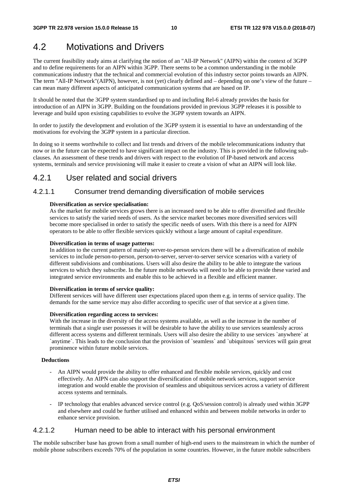# 4.2 Motivations and Drivers

The current feasibility study aims at clarifying the notion of an "All-IP Network" (AIPN) within the context of 3GPP and to define requirements for an AIPN within 3GPP. There seems to be a common understanding in the mobile communications industry that the technical and commercial evolution of this industry sector points towards an AIPN. The term "All-IP Network"(AIPN), however, is not (yet) clearly defined and – depending on one's view of the future – can mean many different aspects of anticipated communication systems that are based on IP.

It should be noted that the 3GPP system standardised up to and including Rel-6 already provides the basis for introduction of an AIPN in 3GPP. Building on the foundations provided in previous 3GPP releases it is possible to leverage and build upon existing capabilities to evolve the 3GPP system towards an AIPN.

In order to justify the development and evolution of the 3GPP system it is essential to have an understanding of the motivations for evolving the 3GPP system in a particular direction.

In doing so it seems worthwhile to collect and list trends and drivers of the mobile telecommunications industry that now or in the future can be expected to have significant impact on the industry. This is provided in the following subclauses. An assessment of these trends and drivers with respect to the evolution of IP-based network and access systems, terminals and service provisioning will make it easier to create a vision of what an AIPN will look like.

## 4.2.1 User related and social drivers

## 4.2.1.1 Consumer trend demanding diversification of mobile services

#### **Diversification as service specialisation:**

As the market for mobile services grows there is an increased need to be able to offer diversified and flexible services to satisfy the varied needs of users. As the service market becomes more diversified services will become more specialised in order to satisfy the specific needs of users. With this there is a need for AIPN operators to be able to offer flexible services quickly without a large amount of capital expenditure.

#### **Diversification in terms of usage patterns:**

In addition to the current pattern of mainly server-to-person services there will be a diversification of mobile services to include person-to-person, person-to-server, server-to-server service scenarios with a variety of different subdivisions and combinations. Users will also desire the ability to be able to integrate the various services to which they subscribe. In the future mobile networks will need to be able to provide these varied and integrated service environments and enable this to be achieved in a flexible and efficient manner.

#### **Diversification in terms of service quality:**

Different services will have different user expectations placed upon them e.g. in terms of service quality. The demands for the same service may also differ according to specific user of that service at a given time.

#### **Diversification regarding access to services:**

With the increase in the diversity of the access systems available, as well as the increase in the number of terminals that a single user possesses it will be desirable to have the ability to use services seamlessly across different access systems and different terminals. Users will also desire the ability to use services `anywhere` at `anytime`. This leads to the conclusion that the provision of `seamless` and `ubiquitous` services will gain great prominence within future mobile services.

#### **Deductions**

- An AIPN would provide the ability to offer enhanced and flexible mobile services, quickly and cost effectively. An AIPN can also support the diversification of mobile network services, support service integration and would enable the provision of seamless and ubiquitous services across a variety of different access systems and terminals.
- IP technology that enables advanced service control (e.g. QoS/session control) is already used within 3GPP and elsewhere and could be further utilised and enhanced within and between mobile networks in order to enhance service provision.

### 4.2.1.2 Human need to be able to interact with his personal environment

The mobile subscriber base has grown from a small number of high-end users to the mainstream in which the number of mobile phone subscribers exceeds 70% of the population in some countries. However, in the future mobile subscribers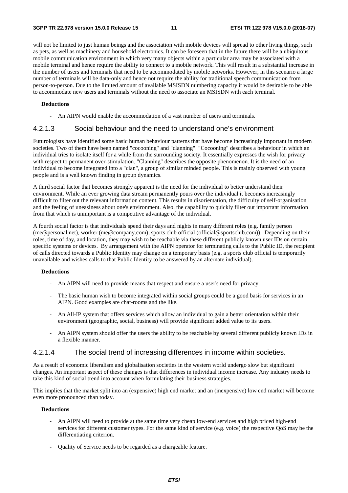will not be limited to just human beings and the association with mobile devices will spread to other living things, such as pets, as well as machinery and household electronics. It can be foreseen that in the future there will be a ubiquitous mobile communication environment in which very many objects within a particular area may be associated with a mobile terminal and hence require the ability to connect to a mobile network. This will result in a substantial increase in the number of users and terminals that need to be accommodated by mobile networks. However, in this scenario a large number of terminals will be data-only and hence not require the ability for traditional speech communication from person-to-person. Due to the limited amount of available MSISDN numbering capacity it would be desirable to be able to accommodate new users and terminals without the need to associate an MSISDN with each terminal.

#### **Deductions**

An AIPN would enable the accommodation of a vast number of users and terminals.

### 4.2.1.3 Social behaviour and the need to understand one's environment

Futurologists have identified some basic human behaviour patterns that have become increasingly important in modern societies. Two of them have been named "cocooning" and "clanning". "Cocooning" describes a behaviour in which an individual tries to isolate itself for a while from the surrounding society. It essentially expresses the wish for privacy with respect to permanent over-stimulation. "Clanning" describes the opposite phenomenon. It is the need of an individual to become integrated into a "clan", a group of similar minded people. This is mainly observed with young people and is a well known finding in group dynamics.

A third social factor that becomes strongly apparent is the need for the individual to better understand their environment. While an ever growing data stream permanently pours over the individual it becomes increasingly difficult to filter out the relevant information content. This results in disorientation, the difficulty of self-organisation and the feeling of uneasiness about one's environment. Also, the capability to quickly filter out important information from that which is unimportant is a competitive advantage of the individual.

A fourth social factor is that individuals spend their days and nights in many different roles (e.g. family person (me@personal.net), worker (me@company.com), sports club official (official@sportsclub.com)). Depending on their roles, time of day, and location, they may wish to be reachable via these different publicly known user IDs on certain specific systems or devices. By arrangement with the AIPN operator for terminating calls to the Public ID, the recipient of calls directed towards a Public Identity may change on a temporary basis (e.g. a sports club official is temporarily unavailable and wishes calls to that Public Identity to be answered by an alternate individual).

#### **Deductions**

- An AIPN will need to provide means that respect and ensure a user's need for privacy.
- The basic human wish to become integrated within social groups could be a good basis for services in an AIPN. Good examples are chat-rooms and the like.
- An All-IP system that offers services which allow an individual to gain a better orientation within their environment (geographic, social, business) will provide significant added value to its users.
- An AIPN system should offer the users the ability to be reachable by several different publicly known IDs in a flexible manner.

### 4.2.1.4 The social trend of increasing differences in income within societies.

As a result of economic liberalism and globalisation societies in the western world undergo slow but significant changes. An important aspect of these changes is that differences in individual income increase. Any industry needs to take this kind of social trend into account when formulating their business strategies.

This implies that the market split into an (expensive) high end market and an (inexpensive) low end market will become even more pronounced than today.

#### **Deductions**

- An AIPN will need to provide at the same time very cheap low-end services and high priced high-end services for different customer types. For the same kind of service (e.g. voice) the respective QoS may be the differentiating criterion.
- Quality of Service needs to be regarded as a chargeable feature.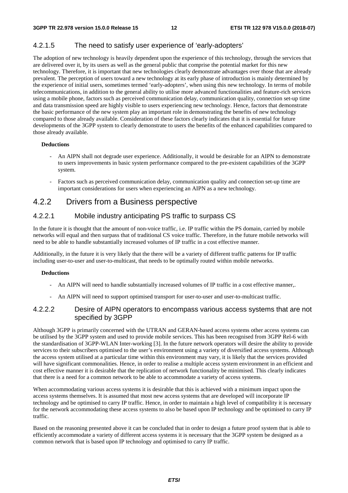## 4.2.1.5 The need to satisfy user experience of 'early-adopters'

The adoption of new technology is heavily dependent upon the experience of this technology, through the services that are delivered over it, by its users as well as the general public that comprise the potential market for this new technology. Therefore, it is important that new technologies clearly demonstrate advantages over those that are already prevalent. The perception of users toward a new technology at its early phase of introduction is mainly determined by the experience of initial users, sometimes termed 'early-adopters', when using this new technology. In terms of mobile telecommunications, in addition to the general ability to utilise more advanced functionalities and feature-rich services using a mobile phone, factors such as perceived communication delay, communication quality, connection set-up time and data transmission speed are highly visible to users experiencing new technology. Hence, factors that demonstrate the basic performance of the new system play an important role in demonstrating the benefits of new technology compared to those already available. Consideration of these factors clearly indicates that it is essential for future developments of the 3GPP system to clearly demonstrate to users the benefits of the enhanced capabilities compared to those already available.

#### **Deductions**

- An AIPN shall not degrade user experience. Additionally, it would be desirable for an AIPN to demonstrate to users improvements in basic system performance compared to the pre-existent capabilities of the 3GPP system.
- Factors such as perceived communication delay, communication quality and connection set-up time are important considerations for users when experiencing an AIPN as a new technology.

## 4.2.2 Drivers from a Business perspective

### 4.2.2.1 Mobile industry anticipating PS traffic to surpass CS

In the future it is thought that the amount of non-voice traffic, i.e. IP traffic within the PS domain, carried by mobile networks will equal and then surpass that of traditional CS voice traffic. Therefore, in the future mobile networks will need to be able to handle substantially increased volumes of IP traffic in a cost effective manner.

Additionally, in the future it is very likely that the there will be a variety of different traffic patterns for IP traffic including user-to-user and user-to-multicast, that needs to be optimally routed within mobile networks.

#### **Deductions**

- An AIPN will need to handle substantially increased volumes of IP traffic in a cost effective manner,.
- An AIPN will need to support optimised transport for user-to-user and user-to-multicast traffic.

### 4.2.2.2 Desire of AIPN operators to encompass various access systems that are not specified by 3GPP

Although 3GPP is primarily concerned with the UTRAN and GERAN-based access systems other access systems can be utilised by the 3GPP system and used to provide mobile services. This has been recognised from 3GPP Rel-6 with the standardisation of 3GPP-WLAN Inter-working [3]. In the future network operators will desire the ability to provide services to their subscribers optimised to the user's environment using a variety of diversified access systems. Although the access system utilised at a particular time within this environment may vary, it is likely that the services provided will have significant commonalities. Hence, in order to realise a multiple access system environment in an efficient and cost effective manner it is desirable that the replication of network functionality be minimised. This clearly indicates that there is a need for a common network to be able to accommodate a variety of access systems.

When accommodating various access systems it is desirable that this is achieved with a minimum impact upon the access systems themselves. It is assumed that most new access systems that are developed will incorporate IP technology and be optimised to carry IP traffic. Hence, in order to maintain a high level of compatibility it is necessary for the network accommodating these access systems to also be based upon IP technology and be optimised to carry IP traffic.

Based on the reasoning presented above it can be concluded that in order to design a future proof system that is able to efficiently accommodate a variety of different access systems it is necessary that the 3GPP system be designed as a common network that is based upon IP technology and optimised to carry IP traffic.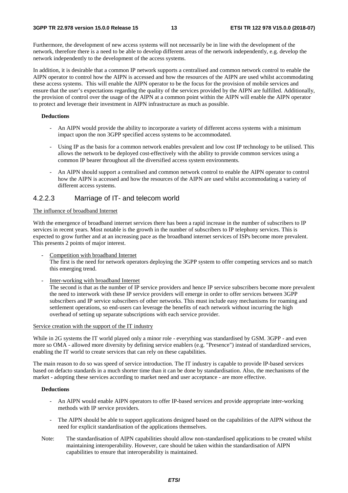Furthermore, the development of new access systems will not necessarily be in line with the development of the network, therefore there is a need to be able to develop different areas of the network independently, e.g. develop the network independently to the development of the access systems.

In addition, it is desirable that a common IP network supports a centralised and common network control to enable the AIPN operator to control how the AIPN is accessed and how the resources of the AIPN are used whilst accommodating these access systems. This will enable the AIPN operator to be the focus for the provision of mobile services and ensure that the user's expectations regarding the quality of the services provided by the AIPN are fulfilled. Additionally, the provision of control over the usage of the AIPN at a common point within the AIPN will enable the AIPN operator to protect and leverage their investment in AIPN infrastructure as much as possible.

#### **Deductions**

- An AIPN would provide the ability to incorporate a variety of different access systems with a minimum impact upon the non 3GPP specified access systems to be accommodated.
- Using IP as the basis for a common network enables prevalent and low cost IP technology to be utilised. This allows the network to be deployed cost-effectively with the ability to provide common services using a common IP bearer throughout all the diversified access system environments.
- An AIPN should support a centralised and common network control to enable the AIPN operator to control how the AIPN is accessed and how the resources of the AIPN are used whilst accommodating a variety of different access systems.

## 4.2.2.3 Marriage of IT- and telecom world

#### The influence of broadband Internet

With the emergence of broadband internet services there has been a rapid increase in the number of subscribers to IP services in recent years. Most notable is the growth in the number of subscribers to IP telephony services. This is expected to grow further and at an increasing pace as the broadband internet services of ISPs become more prevalent. This presents 2 points of major interest.

Competition with broadband Internet

The first is the need for network operators deploying the 3GPP system to offer competing services and so match this emerging trend.

Inter-working with broadband Internet

The second is that as the number of IP service providers and hence IP service subscribers become more prevalent the need to interwork with these IP service providers will emerge in order to offer services between 3GPP subscribers and IP service subscribers of other networks. This must include easy mechanisms for roaming and settlement operations, so end-users can leverage the benefits of each network without incurring the high overhead of setting up separate subscriptions with each service provider.

#### Service creation with the support of the IT industry

While in 2G systems the IT world played only a minor role - everything was standardised by GSM. 3GPP - and even more so OMA - allowed more diversity by defining service enablers (e.g. "Presence") instead of standardized services, enabling the IT world to create services that can rely on these capabilities.

The main reason to do so was speed of service introduction. The IT industry is capable to provide IP-based services based on defacto standards in a much shorter time than it can be done by standardisation. Also, the mechanisms of the market - adopting these services according to market need and user acceptance - are more effective.

#### **Deductions**

- An AIPN would enable AIPN operators to offer IP-based services and provide appropriate inter-working methods with IP service providers.
- The AIPN should be able to support applications designed based on the capabilities of the AIPN without the need for explicit standardisation of the applications themselves.
- Note: The standardisation of AIPN capabilities should allow non-standardised applications to be created whilst maintaining interoperability. However, care should be taken within the standardisation of AIPN capabilities to ensure that interoperability is maintained.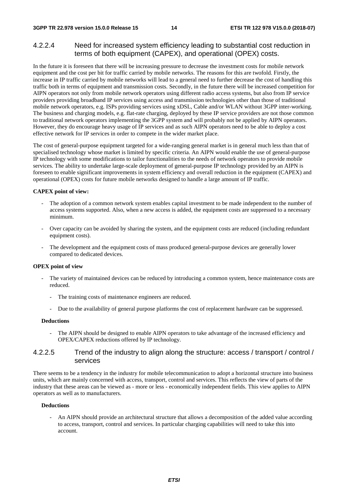## 4.2.2.4 Need for increased system efficiency leading to substantial cost reduction in terms of both equipment (CAPEX), and operational (OPEX) costs.

In the future it is foreseen that there will be increasing pressure to decrease the investment costs for mobile network equipment and the cost per bit for traffic carried by mobile networks. The reasons for this are twofold. Firstly, the increase in IP traffic carried by mobile networks will lead to a general need to further decrease the cost of handling this traffic both in terms of equipment and transmission costs. Secondly, in the future there will be increased competition for AIPN operators not only from mobile network operators using different radio access systems, but also from IP service providers providing broadband IP services using access and transmission technologies other than those of traditional mobile network operators, e.g. ISPs providing services using xDSL, Cable and/or WLAN without 3GPP inter-working. The business and charging models, e.g. flat-rate charging, deployed by these IP service providers are not those common to traditional network operators implementing the 3GPP system and will probably not be applied by AIPN operators. However, they do encourage heavy usage of IP services and as such AIPN operators need to be able to deploy a cost effective network for IP services in order to compete in the wider market place.

The cost of general-purpose equipment targeted for a wide-ranging general market is in general much less than that of specialised technology whose market is limited by specific criteria. An AIPN would enable the use of general-purpose IP technology with some modifications to tailor functionalities to the needs of network operators to provide mobile services. The ability to undertake large-scale deployment of general-purpose IP technology provided by an AIPN is foreseen to enable significant improvements in system efficiency and overall reduction in the equipment (CAPEX) and operational (OPEX) costs for future mobile networks designed to handle a large amount of IP traffic.

#### **CAPEX point of view:**

- The adoption of a common network system enables capital investment to be made independent to the number of access systems supported. Also, when a new access is added, the equipment costs are suppressed to a necessary minimum.
- Over capacity can be avoided by sharing the system, and the equipment costs are reduced (including redundant equipment costs).
- The development and the equipment costs of mass produced general-purpose devices are generally lower compared to dedicated devices.

#### **OPEX point of view**

- The variety of maintained devices can be reduced by introducing a common system, hence maintenance costs are reduced.
	- The training costs of maintenance engineers are reduced.
	- Due to the availability of general purpose platforms the cost of replacement hardware can be suppressed.

#### **Deductions**

The AIPN should be designed to enable AIPN operators to take advantage of the increased efficiency and OPEX/CAPEX reductions offered by IP technology.

### 4.2.2.5 Trend of the industry to align along the structure: access / transport / control / services

There seems to be a tendency in the industry for mobile telecommunication to adopt a horizontal structure into business units, which are mainly concerned with access, transport, control and services. This reflects the view of parts of the industry that these areas can be viewed as - more or less - economically independent fields. This view applies to AIPN operators as well as to manufacturers.

#### **Deductions**

- An AIPN should provide an architectural structure that allows a decomposition of the added value according to access, transport, control and services. In particular charging capabilities will need to take this into account.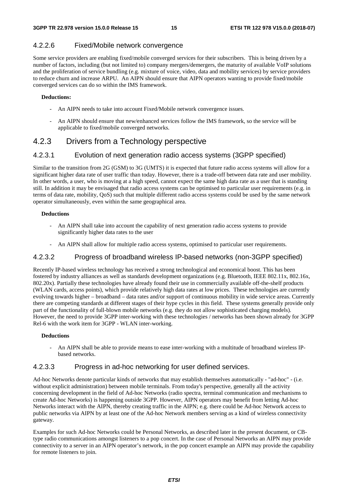## 4.2.2.6 Fixed/Mobile network convergence

Some service providers are enabling fixed/mobile converged services for their subscribers. This is being driven by a number of factors, including (but not limited to) company mergers/demergers, the maturity of available VoIP solutions and the proliferation of service bundling (e.g. mixture of voice, video, data and mobility services) by service providers to reduce churn and increase ARPU. An AIPN should ensure that AIPN operators wanting to provide fixed/mobile converged services can do so within the IMS framework.

#### **Deductions:**

- An AIPN needs to take into account Fixed/Mobile network convergence issues.
- An AIPN should ensure that new/enhanced services follow the IMS framework, so the service will be applicable to fixed/mobile converged networks.

## 4.2.3 Drivers from a Technology perspective

## 4.2.3.1 Evolution of next generation radio access systems (3GPP specified)

Similar to the transition from 2G (GSM) to 3G (UMTS) it is expected that future radio access systems will allow for a significant higher data rate of user traffic than today. However, there is a trade-off between data rate and user mobility. In other words, a user, who is moving at a high speed, cannot expect the same high data rate as a user that is standing still. In addition it may be envisaged that radio access systems can be optimised to particular user requirements (e.g. in terms of data rate, mobility, QoS) such that multiple different radio access systems could be used by the same network operator simultaneously, even within the same geographical area.

#### **Deductions**

- An AIPN shall take into account the capability of next generation radio access systems to provide significantly higher data rates to the user
- An AIPN shall allow for multiple radio access systems, optimised to particular user requirements.

## 4.2.3.2 Progress of broadband wireless IP-based networks (non-3GPP specified)

Recently IP-based wireless technology has received a strong technological and economical boost. This has been fostered by industry alliances as well as standards development organizations (e.g. Bluetooth, IEEE 802.11x, 802.16x, 802.20x). Partially these technologies have already found their use in commercially available off-the-shelf products (WLAN cards, access points), which provide relatively high data rates at low prices. These technologies are currently evolving towards higher – broadband – data rates and/or support of continuous mobility in wide service areas. Currently there are competing standards at different stages of their hype cycles in this field. These systems generally provide only part of the functionality of full-blown mobile networks (e.g. they do not allow sophisticated charging models). However, the need to provide 3GPP inter-working with these technologies / networks has been shown already for 3GPP Rel-6 with the work item for 3GPP - WLAN inter-working.

#### **Deductions**

- An AIPN shall be able to provide means to ease inter-working with a multitude of broadband wireless IPbased networks.

## 4.2.3.3 Progress in ad-hoc networking for user defined services.

Ad-hoc Networks denote particular kinds of networks that may establish themselves automatically - "ad-hoc" - (i.e. without explicit administration) between mobile terminals. From today's perspective, generally all the activity concerning development in the field of Ad-hoc Networks (radio spectra, terminal communication and mechanisms to create Ad-hoc Networks) is happening outside 3GPP. However, AIPN operators may benefit from letting Ad-hoc Networks interact with the AIPN, thereby creating traffic in the AIPN; e.g. there could be Ad-hoc Network access to public networks via AIPN by at least one of the Ad-hoc Network members serving as a kind of wireless connectivity gateway.

Examples for such Ad-hoc Networks could be Personal Networks, as described later in the present document, or CBtype radio communications amongst listeners to a pop concert. In the case of Personal Networks an AIPN may provide connectivity to a server in an AIPN operator's network, in the pop concert example an AIPN may provide the capability for remote listeners to join.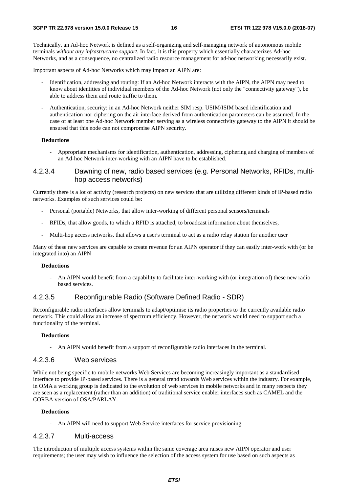Technically, an Ad-hoc Network is defined as a self-organizing and self-managing network of autonomous mobile terminals *without any infrastructure support*. In fact, it is this property which essentially characterizes Ad-hoc Networks, and as a consequence, no centralized radio resource management for ad-hoc networking necessarily exist.

Important aspects of Ad-hoc Networks which may impact an AIPN are:

- Identification, addressing and routing: If an Ad-hoc Network interacts with the AIPN, the AIPN may need to know about identities of individual members of the Ad-hoc Network (not only the "connectivity gateway"), be able to address them and route traffic to them.
- Authentication, security: in an Ad-hoc Network neither SIM resp. USIM/ISIM based identification and authentication nor ciphering on the air interface derived from authentication parameters can be assumed. In the case of at least one Ad-hoc Network member serving as a wireless connectivity gateway to the AIPN it should be ensured that this node can not compromise AIPN security.

#### **Deductions**

- Appropriate mechanisms for identification, authentication, addressing, ciphering and charging of members of an Ad-hoc Network inter-working with an AIPN have to be established.

#### 4.2.3.4 Dawning of new, radio based services (e.g. Personal Networks, RFIDs, multihop access networks)

Currently there is a lot of activity (research projects) on new services that are utilizing different kinds of IP-based radio networks. Examples of such services could be:

- Personal (portable) Networks, that allow inter-working of different personal sensors/terminals
- RFIDs, that allow goods, to which a RFID is attached, to broadcast information about themselves,
- Multi-hop access networks, that allows a user's terminal to act as a radio relay station for another user

Many of these new services are capable to create revenue for an AIPN operator if they can easily inter-work with (or be integrated into) an AIPN

#### **Deductions**

- An AIPN would benefit from a capability to facilitate inter-working with (or integration of) these new radio based services.

#### 4.2.3.5 Reconfigurable Radio (Software Defined Radio - SDR)

Reconfigurable radio interfaces allow terminals to adapt/optimise its radio properties to the currently available radio network. This could allow an increase of spectrum efficiency. However, the network would need to support such a functionality of the terminal.

#### **Deductions**

- An AIPN would benefit from a support of reconfigurable radio interfaces in the terminal.

### 4.2.3.6 Web services

While not being specific to mobile networks Web Services are becoming increasingly important as a standardised interface to provide IP-based services. There is a general trend towards Web services within the industry. For example, in OMA a working group is dedicated to the evolution of web services in mobile networks and in many respects they are seen as a replacement (rather than an addition) of traditional service enabler interfaces such as CAMEL and the CORBA version of OSA/PARLAY.

#### **Deductions**

- An AIPN will need to support Web Service interfaces for service provisioning.

#### 4.2.3.7 Multi-access

The introduction of multiple access systems within the same coverage area raises new AIPN operator and user requirements; the user may wish to influence the selection of the access system for use based on such aspects as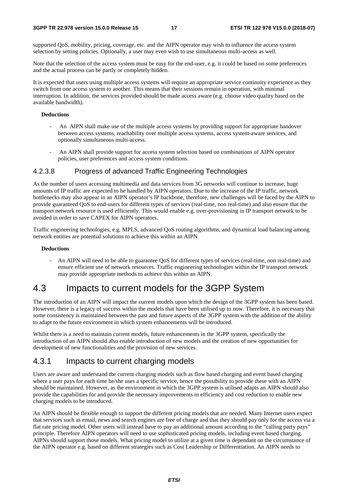supported QoS, mobility, pricing, coverage, etc. and the AIPN operator may wish to influence the access system selection by setting policies. Optionally, a user may even wish to use simultaneous multi-access as well.

Note that the selection of the access system must be easy for the end-user, e.g. it could be based on some preferences and the actual process can be partly or completely hidden.

It is expected that users using multiple access systems will require an appropriate service continuity experience as they switch from one access system to another. This means that their sessions remain in operation, with minimal interruption. In addition, the services provided should be made access aware (e.g. choose video quality based on the available bandwidth).

#### **Deductions**

- An AIPN shall make use of the multiple access systems by providing support for appropriate handover between access systems, reachability over multiple access systems, access system-aware services, and optionally simultaneous multi-access.
- An AIPN shall provide support for access system selection based on combinations of AIPN operator policies, user preferences and access system conditions.

## 4.2.3.8 Progress of advanced Traffic Engineering Technologies

As the number of users accessing multimedia and data services from 3G networks will continue to increase, huge amounts of IP traffic are expected to be handled by AIPN operators. Due to the increase of the IP traffic, network bottlenecks may also appear in an AIPN operator's IP backbone, therefore, new challenges will be faced by the AIPN to provide guaranteed QoS to end-users for different types of services (real-time, non real-time) and also ensure that the transport network resource is used efficiently. This would enable e.g. over-provisioning in IP transport network to be avoided in order to save CAPEX for AIPN operators.

Traffic engineering technologies, e.g. MPLS, advanced QoS routing algorithms, and dynamical load balancing among network entities are potential solutions to achieve this within an AIPN.

#### **Deductions**

- An AIPN will need to be able to guarantee QoS for different types of services (real-time, non real-time) and ensure efficient use of network resources. Traffic engineering technologies within the IP transport network may provide appropriate methods to achieve this within an AIPN.

# 4.3 Impacts to current models for the 3GPP System

The introduction of an AIPN will impact the current models upon which the design of the 3GPP system has been based. However, there is a legacy of success within the models that have been utilised up to now. Therefore, it is necessary that some consistency is maintained between the past and future aspects of the 3GPP system with the addition of the ability to adapt to the future environment in which system enhancements will be introduced.

Whilst there is a need to maintain current models, future enhancements in the 3GPP system, specifically the introduction of an AIPN should also enable introduction of new models and the creation of new opportunities for development of new functionalities and the provision of new services.

## 4.3.1 Impacts to current charging models

Users are aware and understand the current charging models such as flow based charging and event based charging where a user pays for each time he/she uses a specific service, hence the possibility to provide these with an AIPN should be maintained. However, as the environment in which the 3GPP system is utilised adapts an AIPN should also provide the capabilities for and provide the necessary improvements in efficiency and cost reduction to enable new charging models to be introduced.

An AIPN should be flexible enough to support the different pricing models that are needed. Many Internet users expect that services such as email, news and search engines are free of charge and that they should pay only for the access via a flat rate pricing model. Other users will instead have to pay an additional amount according to the "calling party pays" principle. Therefore AIPN operators will need to use sophisticated pricing models, including event based charging. AIPNs should support those models. What pricing model to utilize at a given time is dependant on the circumstance of the AIPN operator e.g. based on different strategies such as Cost Leadership or Differentiation. An AIPN needs to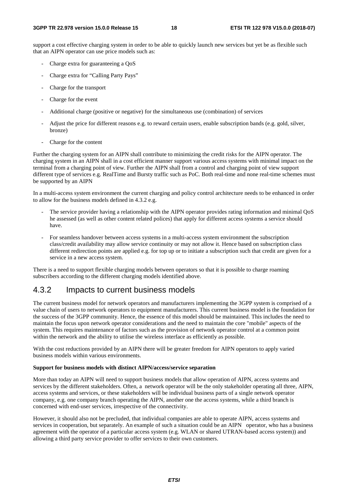support a cost effective charging system in order to be able to quickly launch new services but yet be as flexible such that an AIPN operator can use price models such as:

- Charge extra for guaranteeing a QoS
- Charge extra for "Calling Party Pays"
- Charge for the transport
- Charge for the event
- Additional charge (positive or negative) for the simultaneous use (combination) of services
- Adjust the price for different reasons e.g. to reward certain users, enable subscription bands (e.g. gold, silver, bronze)
- Charge for the content

Further the charging system for an AIPN shall contribute to minimizing the credit risks for the AIPN operator. The charging system in an AIPN shall in a cost efficient manner support various access systems with minimal impact on the terminal from a charging point of view. Further the AIPN shall from a control and charging point of view support different type of services e.g. RealTime and Bursty traffic such as PoC. Both real-time and none real-time schemes must be supported by an AIPN

In a multi-access system environment the current charging and policy control architecture needs to be enhanced in order to allow for the business models defined in 4.3.2 e.g.

- The service provider having a relationship with the AIPN operator provides rating information and minimal QoS he assessed (as well as other content related polices) that apply for different access systems a service should have.
- For seamless handover between access systems in a multi-access system environment the subscription class/credit availability may allow service continuity or may not allow it. Hence based on subscription class different redirection points are applied e.g. for top up or to initiate a subscription such that credit are given for a service in a new access system.

There is a need to support flexible charging models between operators so that it is possible to charge roaming subscribers according to the different charging models identified above.

## 4.3.2 Impacts to current business models

The current business model for network operators and manufacturers implementing the 3GPP system is comprised of a value chain of users to network operators to equipment manufacturers. This current business model is the foundation for the success of the 3GPP community. Hence, the essence of this model should be maintained. This includes the need to maintain the focus upon network operator considerations and the need to maintain the core "mobile" aspects of the system. This requires maintenance of factors such as the provision of network operator control at a common point within the network and the ability to utilise the wireless interface as efficiently as possible.

With the cost reductions provided by an AIPN there will be greater freedom for AIPN operators to apply varied business models within various environments.

#### **Support for business models with distinct AIPN/access/service separation**

More than today an AIPN will need to support business models that allow operation of AIPN, access systems and services by the different stakeholders. Often, a network operator will be the only stakeholder operating all three, AIPN, access systems and services, or these stakeholders will be individual business parts of a single network operator company, e.g. one company branch operating the AIPN, another one the access systems, while a third branch is concerned with end-user services, irrespective of the connectivity.

However, it should also not be precluded, that individual companies are able to operate AIPN, access systems and services in cooperation, but separately. An example of such a situation could be an AIPN operator, who has a business agreement with the operator of a particular access system (e.g. WLAN or shared UTRAN-based access system)) and allowing a third party service provider to offer services to their own customers.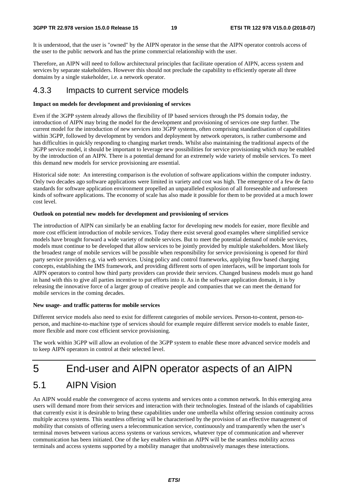It is understood, that the user is "owned" by the AIPN operator in the sense that the AIPN operator controls access of the user to the public network and has the prime commercial relationship with the user.

Therefore, an AIPN will need to follow architectural principles that facilitate operation of AIPN, access system and services by separate stakeholders. However this should not preclude the capability to efficiently operate all three domains by a single stakeholder, i.e. a network operator.

## 4.3.3 Impacts to current service models

#### **Impact on models for development and provisioning of services**

Even if the 3GPP system already allows the flexibility of IP based services through the PS domain today, the introduction of AIPN may bring the model for the development and provisioning of services one step further. The current model for the introduction of new services into 3GPP systems, often comprising standardisation of capabilities within 3GPP, followed by development by vendors and deployment by network operators, is rather cumbersome and has difficulties in quickly responding to changing market trends. Whilst also maintaining the traditional aspects of the 3GPP service model, it should be important to leverage new possibilities for service provisioning which may be enabled by the introduction of an AIPN. There is a potential demand for an extremely wide variety of mobile services. To meet this demand new models for service provisioning are essential.

Historical side note: An interesting comparison is the evolution of software applications within the computer industry. Only two decades ago software applications were limited in variety and cost was high. The emergence of a few de facto standards for software application environment propelled an unparalleled explosion of all foreseeable and unforeseen kinds of software applications. The economy of scale has also made it possible for them to be provided at a much lower cost level.

#### **Outlook on potential new models for development and provisioning of services**

The introduction of AIPN can similarly be an enabling factor for developing new models for easier, more flexible and more cost efficient introduction of mobile services. Today there exist several good examples where simplified service models have brought forward a wide variety of mobile services. But to meet the potential demand of mobile services, models must continue to be developed that allow services to be jointly provided by multiple stakeholders. Most likely the broadest range of mobile services will be possible when responsibility for service provisioning is opened for third party service providers e.g. via web services. Using policy and control frameworks, applying flow based charging concepts, establishing the IMS framework, and providing different sorts of open interfaces, will be important tools for AIPN operators to control how third party providers can provide their services. Changed business models must go hand in hand with this to give all parties incentive to put efforts into it. As in the software application domain, it is by releasing the innovative force of a larger group of creative people and companies that we can meet the demand for mobile services in the coming decades.

#### **New usage- and traffic patterns for mobile services**

Different service models also need to exist for different categories of mobile services. Person-to-content, person-toperson, and machine-to-machine type of services should for example require different service models to enable faster, more flexible and more cost efficient service provisioning.

The work within 3GPP will allow an evolution of the 3GPP system to enable these more advanced service models and to keep AIPN operators in control at their selected level.

# 5 End-user and AIPN operator aspects of an AIPN

# 5.1 AIPN Vision

An AIPN would enable the convergence of access systems and services onto a common network. In this emerging area users will demand more from their services and interaction with their technologies. Instead of the islands of capabilities that currently exist it is desirable to bring these capabilities under one umbrella whilst offering session continuity across multiple access systems. This seamless offering will be characterised by the provision of an effective management of mobility that consists of offering users a telecommunication service, continuously and transparently when the user's terminal moves between various access systems or various services, whatever type of communication and wherever communication has been initiated. One of the key enablers within an AIPN will be the seamless mobility across terminals and access systems supported by a mobility manager that unobtrusively manages these interactions.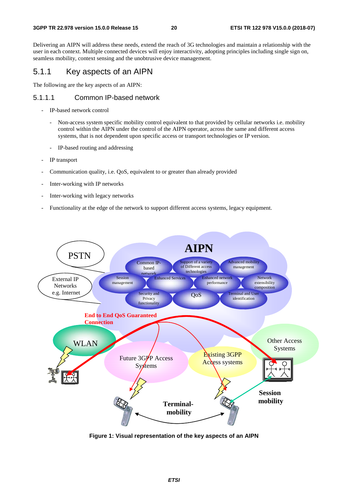Delivering an AIPN will address these needs, extend the reach of 3G technologies and maintain a relationship with the user in each context. Multiple connected devices will enjoy interactivity, adopting principles including single sign on, seamless mobility, context sensing and the unobtrusive device management.

## 5.1.1 Key aspects of an AIPN

The following are the key aspects of an AIPN:

### 5.1.1.1 Common IP-based network

- IP-based network control
	- Non-access system specific mobility control equivalent to that provided by cellular networks i.e. mobility control within the AIPN under the control of the AIPN operator, across the same and different access systems, that is not dependent upon specific access or transport technologies or IP version.
	- IP-based routing and addressing
- IP transport
- Communication quality, i.e. QoS, equivalent to or greater than already provided
- Inter-working with IP networks
- Inter-working with legacy networks
- Functionality at the edge of the network to support different access systems, legacy equipment.



**Figure 1: Visual representation of the key aspects of an AIPN**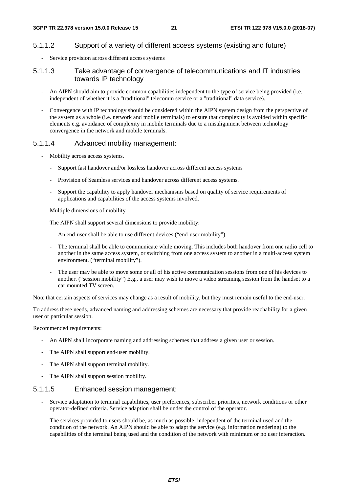### 5.1.1.2 Support of a variety of different access systems (existing and future)

Service provision across different access systems

### 5.1.1.3 Take advantage of convergence of telecommunications and IT industries towards IP technology

- An AIPN should aim to provide common capabilities independent to the type of service being provided (i.e. independent of whether it is a "traditional" telecomm service or a "traditional" data service).
- Convergence with IP technology should be considered within the AIPN system design from the perspective of the system as a whole (i.e. network and mobile terminals) to ensure that complexity is avoided within specific elements e.g. avoidance of complexity in mobile terminals due to a misalignment between technology convergence in the network and mobile terminals.

#### 5.1.1.4 Advanced mobility management:

- Mobility across access systems.
	- Support fast handover and/or lossless handover across different access systems
	- Provision of Seamless services and handover across different access systems.
	- Support the capability to apply handover mechanisms based on quality of service requirements of applications and capabilities of the access systems involved.
- Multiple dimensions of mobility

The AIPN shall support several dimensions to provide mobility:

- An end-user shall be able to use different devices ("end-user mobility").
- The terminal shall be able to communicate while moving. This includes both handover from one radio cell to another in the same access system, or switching from one access system to another in a multi-access system environment. ("terminal mobility").
- The user may be able to move some or all of his active communication sessions from one of his devices to another. ("session mobility") E.g., a user may wish to move a video streaming session from the handset to a car mounted TV screen.

Note that certain aspects of services may change as a result of mobility, but they must remain useful to the end-user.

To address these needs, advanced naming and addressing schemes are necessary that provide reachability for a given user or particular session.

Recommended requirements:

- An AIPN shall incorporate naming and addressing schemes that address a given user or session.
- The AIPN shall support end-user mobility.
- The AIPN shall support terminal mobility.
- The AIPN shall support session mobility.

#### 5.1.1.5 Enhanced session management:

- Service adaptation to terminal capabilities, user preferences, subscriber priorities, network conditions or other operator-defined criteria. Service adaption shall be under the control of the operator.

The services provided to users should be, as much as possible, independent of the terminal used and the condition of the network. An AIPN should be able to adapt the service (e.g. information rendering) to the capabilities of the terminal being used and the condition of the network with minimum or no user interaction.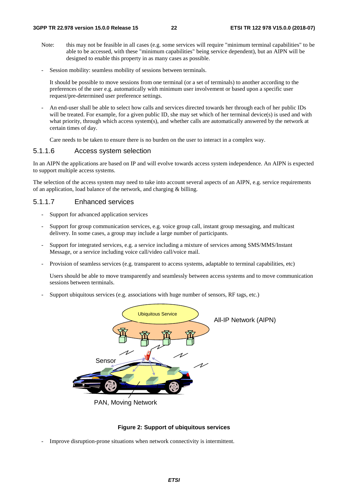- Note: this may not be feasible in all cases (e.g. some services will require "minimum terminal capabilities" to be able to be accessed, with these "minimum capabilities" being service dependent), but an AIPN will be designed to enable this property in as many cases as possible.
- Session mobility: seamless mobility of sessions between terminals.

It should be possible to move sessions from one terminal (or a set of terminals) to another according to the preferences of the user e.g. automatically with minimum user involvement or based upon a specific user request/pre-determined user preference settings.

- An end-user shall be able to select how calls and services directed towards her through each of her public IDs will be treated. For example, for a given public ID, she may set which of her terminal device(s) is used and with what priority, through which access system(s), and whether calls are automatically answered by the network at certain times of day.

Care needs to be taken to ensure there is no burden on the user to interact in a complex way.

### 5.1.1.6 Access system selection

In an AIPN the applications are based on IP and will evolve towards access system independence. An AIPN is expected to support multiple access systems.

The selection of the access system may need to take into account several aspects of an AIPN, e.g. service requirements of an application, load balance of the network, and charging & billing.

### 5.1.1.7 Enhanced services

- Support for advanced application services
- Support for group communication services, e.g. voice group call, instant group messaging, and multicast delivery. In some cases, a group may include a large number of participants.
- Support for integrated services, e.g. a service including a mixture of services among SMS/MMS/Instant Message, or a service including voice call/video call/voice mail.
- Provision of seamless services (e.g. transparent to access systems, adaptable to terminal capabilities, etc)

 Users should be able to move transparently and seamlessly between access systems and to move communication sessions between terminals.

Support ubiquitous services (e.g. associations with huge number of sensors, RF tags, etc.)



PAN, Moving Network

#### **Figure 2: Support of ubiquitous services**

Improve disruption-prone situations when network connectivity is intermittent.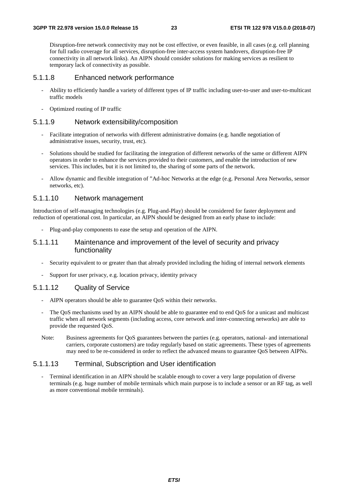Disruption-free network connectivity may not be cost effective, or even feasible, in all cases (e.g. cell planning for full radio coverage for all services, disruption-free inter-access system handovers, disruption-free IP connectivity in all network links). An AIPN should consider solutions for making services as resilient to temporary lack of connectivity as possible.

### 5.1.1.8 Enhanced network performance

- Ability to efficiently handle a variety of different types of IP traffic including user-to-user and user-to-multicast traffic models
- Optimized routing of IP traffic

## 5.1.1.9 Network extensibility/composition

- Facilitate integration of networks with different administrative domains (e.g. handle negotiation of administrative issues, security, trust, etc).
- Solutions should be studied for facilitating the integration of different networks of the same or different AIPN operators in order to enhance the services provided to their customers, and enable the introduction of new services. This includes, but it is not limited to, the sharing of some parts of the network.
- Allow dynamic and flexible integration of "Ad-hoc Networks at the edge (e.g. Personal Area Networks, sensor networks, etc).

#### 5.1.1.10 Network management

Introduction of self-managing technologies (e.g. Plug-and-Play) should be considered for faster deployment and reduction of operational cost. In particular, an AIPN should be designed from an early phase to include:

- Plug-and-play components to ease the setup and operation of the AIPN.

### 5.1.1.11 Maintenance and improvement of the level of security and privacy functionality

- Security equivalent to or greater than that already provided including the hiding of internal network elements
- Support for user privacy, e.g. location privacy, identity privacy

### 5.1.1.12 Quality of Service

- AIPN operators should be able to guarantee OoS within their networks.
- The QoS mechanisms used by an AIPN should be able to guarantee end to end QoS for a unicast and multicast traffic when all network segments (including access, core network and inter-connecting networks) are able to provide the requested QoS.
- Note: Business agreements for QoS guarantees between the parties (e.g. operators, national- and international carriers, corporate customers) are today regularly based on static agreements. These types of agreements may need to be re-considered in order to reflect the advanced means to guarantee QoS between AIPNs.

#### 5.1.1.13 Terminal, Subscription and User identification

Terminal identification in an AIPN should be scalable enough to cover a very large population of diverse terminals (e.g. huge number of mobile terminals which main purpose is to include a sensor or an RF tag, as well as more conventional mobile terminals).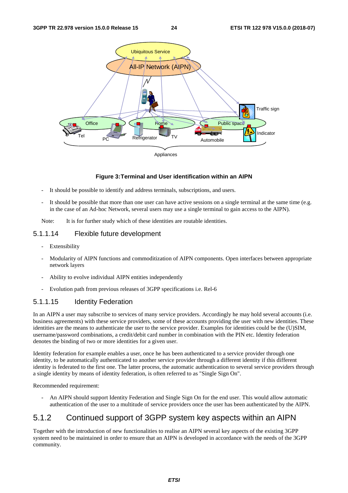

#### **Figure 3: Terminal and User identification within an AIPN**

- It should be possible to identify and address terminals, subscriptions, and users.
- It should be possible that more than one user can have active sessions on a single terminal at the same time (e.g. in the case of an Ad-hoc Network, several users may use a single terminal to gain access to the AIPN).

Note: It is for further study which of these identities are routable identities.

### 5.1.1.14 Flexible future development

- Extensibility
- Modularity of AIPN functions and commoditization of AIPN components. Open interfaces between appropriate network layers
- Ability to evolve individual AIPN entities independently
- Evolution path from previous releases of 3GPP specifications i.e. Rel-6

### 5.1.1.15 Identity Federation

In an AIPN a user may subscribe to services of many service providers. Accordingly he may hold several accounts (i.e. business agreements) with these service providers, some of these accounts providing the user with new identities. These identities are the means to authenticate the user to the service provider. Examples for identities could be the (U)SIM, username/password combinations, a credit/debit card number in combination with the PIN etc. Identity federation denotes the binding of two or more identities for a given user.

Identity federation for example enables a user, once he has been authenticated to a service provider through one identity, to be automatically authenticated to another service provider through a different identity if this different identity is federated to the first one. The latter process, the automatic authentication to several service providers through a single identity by means of identity federation, is often referred to as "Single Sign On".

Recommended requirement:

- An AIPN should support Identity Federation and Single Sign On for the end user. This would allow automatic authentication of the user to a multitude of service providers once the user has been authenticated by the AIPN.

## 5.1.2 Continued support of 3GPP system key aspects within an AIPN

Together with the introduction of new functionalities to realise an AIPN several key aspects of the existing 3GPP system need to be maintained in order to ensure that an AIPN is developed in accordance with the needs of the 3GPP community.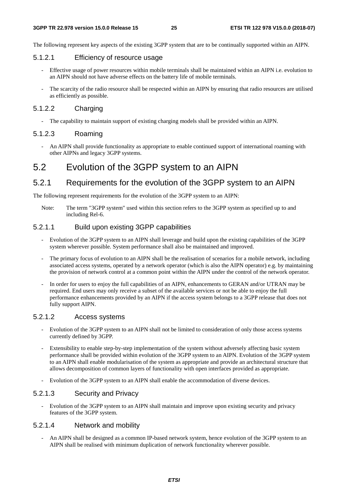The following represent key aspects of the existing 3GPP system that are to be continually supported within an AIPN.

### 5.1.2.1 Efficiency of resource usage

- Effective usage of power resources within mobile terminals shall be maintained within an AIPN i.e. evolution to an AIPN should not have adverse effects on the battery life of mobile terminals.
- The scarcity of the radio resource shall be respected within an AIPN by ensuring that radio resources are utilised as efficiently as possible.

#### 5.1.2.2 Charging

The capability to maintain support of existing charging models shall be provided within an AIPN.

### 5.1.2.3 Roaming

- An AIPN shall provide functionality as appropriate to enable continued support of international roaming with other AIPNs and legacy 3GPP systems.

## 5.2 Evolution of the 3GPP system to an AIPN

## 5.2.1 Requirements for the evolution of the 3GPP system to an AIPN

The following represent requirements for the evolution of the 3GPP system to an AIPN:

Note: The term "3GPP system" used within this section refers to the 3GPP system as specified up to and including Rel-6.

## 5.2.1.1 Build upon existing 3GPP capabilities

- Evolution of the 3GPP system to an AIPN shall leverage and build upon the existing capabilities of the 3GPP system wherever possible. System performance shall also be maintained and improved.
- The primary focus of evolution to an AIPN shall be the realisation of scenarios for a mobile network, including associated access systems, operated by a network operator (which is also the AIPN operator) e.g. by maintaining the provision of network control at a common point within the AIPN under the control of the network operator.
- In order for users to enjoy the full capabilities of an AIPN, enhancements to GERAN and/or UTRAN may be required. End users may only receive a subset of the available services or not be able to enjoy the full performance enhancements provided by an AIPN if the access system belongs to a 3GPP release that does not fully support AIPN.

### 5.2.1.2 Access systems

- Evolution of the 3GPP system to an AIPN shall not be limited to consideration of only those access systems currently defined by 3GPP.
- Extensibility to enable step-by-step implementation of the system without adversely affecting basic system performance shall be provided within evolution of the 3GPP system to an AIPN. Evolution of the 3GPP system to an AIPN shall enable modularisation of the system as appropriate and provide an architectural structure that allows decomposition of common layers of functionality with open interfaces provided as appropriate.
- Evolution of the 3GPP system to an AIPN shall enable the accommodation of diverse devices.

### 5.2.1.3 Security and Privacy

- Evolution of the 3GPP system to an AIPN shall maintain and improve upon existing security and privacy features of the 3GPP system.

## 5.2.1.4 Network and mobility

An AIPN shall be designed as a common IP-based network system, hence evolution of the 3GPP system to an AIPN shall be realised with minimum duplication of network functionality wherever possible.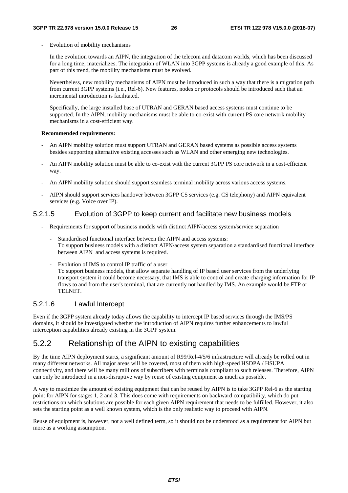- Evolution of mobility mechanisms
	- In the evolution towards an AIPN, the integration of the telecom and datacom worlds, which has been discussed for a long time, materializes. The integration of WLAN into 3GPP systems is already a good example of this. As part of this trend, the mobility mechanisms must be evolved.
	- Nevertheless, new mobility mechanisms of AIPN must be introduced in such a way that there is a migration path from current 3GPP systems (i.e., Rel-6). New features, nodes or protocols should be introduced such that an incremental introduction is facilitated.
	- Specifically, the large installed base of UTRAN and GERAN based access systems must continue to be supported. In the AIPN, mobility mechanisms must be able to co-exist with current PS core network mobility mechanisms in a cost-efficient way.

#### **Recommended requirements:**

- An AIPN mobility solution must support UTRAN and GERAN based systems as possible access systems besides supporting alternative existing accesses such as WLAN and other emerging new technologies.
- An AIPN mobility solution must be able to co-exist with the current 3GPP PS core network in a cost-efficient way.
- An AIPN mobility solution should support seamless terminal mobility across various access systems.
- AIPN should support services handover between 3GPP CS services (e.g. CS telephony) and AIPN equivalent services (e.g. Voice over IP).

### 5.2.1.5 Evolution of 3GPP to keep current and facilitate new business models

- Requirements for support of business models with distinct AIPN/access system/service separation
	- Standardised functional interface between the AIPN and access systems: To support business models with a distinct AIPN/access system separation a standardised functional interface between AIPN and access systems is required.
	- Evolution of IMS to control IP traffic of a user To support business models, that allow separate handling of IP based user services from the underlying transport system it could become necessary, that IMS is able to control and create charging information for IP flows to and from the user's terminal, that are currently not handled by IMS. An example would be FTP or TELNET.

### 5.2.1.6 Lawful Intercept

Even if the 3GPP system already today allows the capability to intercept IP based services through the IMS/PS domains, it should be investigated whether the introduction of AIPN requires further enhancements to lawful interception capabilities already existing in the 3GPP system.

## 5.2.2 Relationship of the AIPN to existing capabilities

By the time AIPN deployment starts, a significant amount of R99/Rel-4/5/6 infrastructure will already be rolled out in many different networks. All major areas will be covered, most of them with high-speed HSDPA / HSUPA connectivity, and there will be many millions of subscribers with terminals compliant to such releases. Therefore, AIPN can only be introduced in a non-disruptive way by reuse of existing equipment as much as possible.

A way to maximize the amount of existing equipment that can be reused by AIPN is to take 3GPP Rel-6 as the starting point for AIPN for stages 1, 2 and 3. This does come with requirements on backward compatibility, which do put restrictions on which solutions are possible for each given AIPN requirement that needs to be fulfilled. However, it also sets the starting point as a well known system, which is the only realistic way to proceed with AIPN.

Reuse of equipment is, however, not a well defined term, so it should not be understood as a requirement for AIPN but more as a working assumption.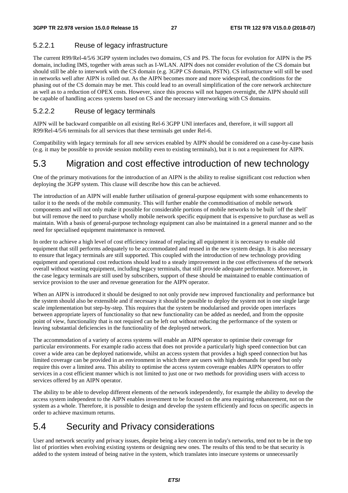## 5.2.2.1 Reuse of legacy infrastructure

The current R99/Rel-4/5/6 3GPP system includes two domains, CS and PS. The focus for evolution for AIPN is the PS domain, including IMS, together with areas such as I-WLAN. AIPN does not consider evolution of the CS domain but should still be able to interwork with the CS domain (e.g. 3GPP CS domain, PSTN). CS infrastructure will still be used in networks well after AIPN is rolled out. As the AIPN becomes more and more widespread, the conditions for the phasing out of the CS domain may be met. This could lead to an overall simplification of the core network architecture as well as to a reduction of OPEX costs. However, since this process will not happen overnight, the AIPN should still be capable of handling access systems based on CS and the necessary interworking with CS domains.

## 5.2.2.2 Reuse of legacy terminals

AIPN will be backward compatible on all existing Rel-6 3GPP UNI interfaces and, therefore, it will support all R99/Rel-4/5/6 terminals for all services that these terminals get under Rel-6.

Compatibility with legacy terminals for all new services enabled by AIPN should be considered on a case-by-case basis (e.g. it may be possible to provide session mobility even to existing terminals), but it is not a requirement for AIPN.

# 5.3 Migration and cost effective introduction of new technology

One of the primary motivations for the introduction of an AIPN is the ability to realise significant cost reduction when deploying the 3GPP system. This clause will describe how this can be achieved.

The introduction of an AIPN will enable further utilisation of general-purpose equipment with some enhancements to tailor it to the needs of the mobile community. This will further enable the commoditisation of mobile network components and will not only make it possible for considerable portions of mobile networks to be built `off the shelf` but will remove the need to purchase wholly mobile network specific equipment that is expensive to purchase as well as maintain. With a basis of general-purpose technology equipment can also be maintained in a general manner and so the need for specialised equipment maintenance is removed.

In order to achieve a high level of cost efficiency instead of replacing all equipment it is necessary to enable old equipment that still performs adequately to be accommodated and reused in the new system design. It is also necessary to ensure that legacy terminals are still supported. This coupled with the introduction of new technology providing equipment and operational cost reductions should lead to a steady improvement in the cost effectiveness of the network overall without wasting equipment, including legacy terminals, that still provide adequate performance. Moreover, in the case legacy terminals are still used by subscribers, support of these should be maintained to enable continuation of service provision to the user and revenue generation for the AIPN operator.

When an AIPN is introduced it should be designed to not only provide new improved functionality and performance but the system should also be extensible and if necessary it should be possible to deploy the system not in one single large scale implementation but step-by-step. This requires that the system be modularised and provide open interfaces between appropriate layers of functionality so that new functionality can be added as needed, and from the opposite point of view, functionality that is not required can be left out without reducing the performance of the system or leaving substantial deficiencies in the functionality of the deployed network.

The accommodation of a variety of access systems will enable an AIPN operator to optimise their coverage for particular environments. For example radio access that does not provide a particularly high speed connection but can cover a wide area can be deployed nationwide, whilst an access system that provides a high speed connection but has limited coverage can be provided in an environment in which there are users with high demands for speed but only require this over a limited area. This ability to optimise the access system coverage enables AIPN operators to offer services in a cost efficient manner which is not limited to just one or two methods for providing users with access to services offered by an AIPN operator.

The ability to be able to develop different elements of the network independently, for example the ability to develop the access system independent to the AIPN enables investment to be focused on the area requiring enhancement, not on the system as a whole. Therefore, it is possible to design and develop the system efficiently and focus on specific aspects in order to achieve maximum returns.

# 5.4 Security and Privacy considerations

User and network security and privacy issues, despite being a key concern in today's networks, tend not to be in the top list of priorities when evolving existing systems or designing new ones. The results of this tend to be that security is added to the system instead of being native in the system, which translates into insecure systems or unnecessarily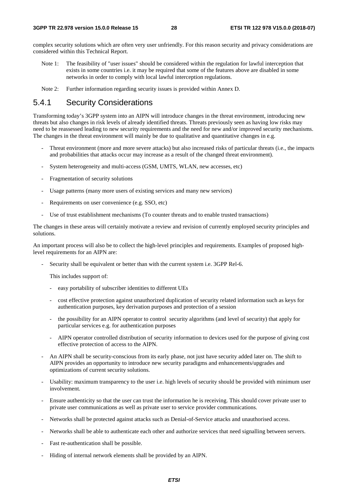complex security solutions which are often very user unfriendly. For this reason security and privacy considerations are considered within this Technical Report.

- Note 1: The feasibility of "user issues" should be considered within the regulation for lawful interception that exists in some countries i.e. it may be required that some of the features above are disabled in some networks in order to comply with local lawful interception regulations.
- Note 2: Further information regarding security issues is provided within Annex D.

## 5.4.1 Security Considerations

Transforming today's 3GPP system into an AIPN will introduce changes in the threat environment, introducing new threats but also changes in risk levels of already identified threats. Threats previously seen as having low risks may need to be reassessed leading to new security requirements and the need for new and/or improved security mechanisms. The changes in the threat environment will mainly be due to qualitative and quantitative changes in e.g.

- Threat environment (more and more severe attacks) but also increased risks of particular threats (i.e., the impacts and probabilities that attacks occur may increase as a result of the changed threat environment).
- System heterogeneity and multi-access (GSM, UMTS, WLAN, new accesses, etc)
- Fragmentation of security solutions
- Usage patterns (many more users of existing services and many new services)
- Requirements on user convenience (e.g. SSO, etc)
- Use of trust establishment mechanisms (To counter threats and to enable trusted transactions)

The changes in these areas will certainly motivate a review and revision of currently employed security principles and solutions.

An important process will also be to collect the high-level principles and requirements. Examples of proposed highlevel requirements for an AIPN are:

Security shall be equivalent or better than with the current system i.e. 3GPP Rel-6.

This includes support of:

- easy portability of subscriber identities to different UEs
- cost effective protection against unauthorized duplication of security related information such as keys for authentication purposes, key derivation purposes and protection of a session
- the possibility for an AIPN operator to control security algorithms (and level of security) that apply for particular services e.g. for authentication purposes
- AIPN operator controlled distribution of security information to devices used for the purpose of giving cost effective protection of access to the AIPN.
- An AIPN shall be security-conscious from its early phase, not just have security added later on. The shift to AIPN provides an opportunity to introduce new security paradigms and enhancements/upgrades and optimizations of current security solutions.
- Usability: maximum transparency to the user i.e. high levels of security should be provided with minimum user involvement.
- Ensure authenticity so that the user can trust the information he is receiving. This should cover private user to private user communications as well as private user to service provider communications.
- Networks shall be protected against attacks such as Denial-of-Service attacks and unauthorised access.
- Networks shall be able to authenticate each other and authorize services that need signalling between servers.
- Fast re-authentication shall be possible.
- Hiding of internal network elements shall be provided by an AIPN.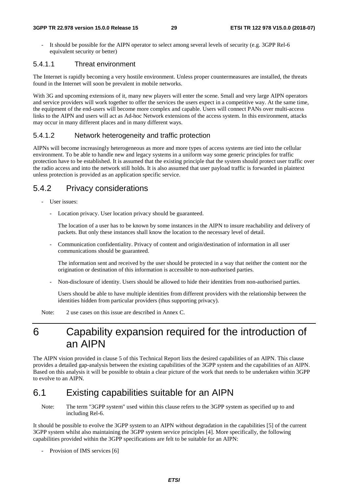#### **3GPP TR 22.978 version 15.0.0 Release 15 29 ETSI TR 122 978 V15.0.0 (2018-07)**

It should be possible for the AIPN operator to select among several levels of security (e.g. 3GPP Rel-6 equivalent security or better)

### 5.4.1.1 Threat environment

The Internet is rapidly becoming a very hostile environment. Unless proper countermeasures are installed, the threats found in the Internet will soon be prevalent in mobile networks.

With 3G and upcoming extensions of it, many new players will enter the scene. Small and very large AIPN operators and service providers will work together to offer the services the users expect in a competitive way. At the same time, the equipment of the end-users will become more complex and capable. Users will connect PANs over multi-access links to the AIPN and users will act as Ad-hoc Network extensions of the access system. In this environment, attacks may occur in many different places and in many different ways.

### 5.4.1.2 Network heterogeneity and traffic protection

AIPNs will become increasingly heterogeneous as more and more types of access systems are tied into the cellular environment. To be able to handle new and legacy systems in a uniform way some generic principles for traffic protection have to be established. It is assumed that the existing principle that the system should protect user traffic over the radio access and into the network still holds. It is also assumed that user payload traffic is forwarded in plaintext unless protection is provided as an application specific service.

## 5.4.2 Privacy considerations

- User issues:
	- Location privacy. User location privacy should be guaranteed.

 The location of a user has to be known by some instances in the AIPN to insure reachability and delivery of packets. But only these instances shall know the location to the necessary level of detail.

- Communication confidentiality. Privacy of content and origin/destination of information in all user communications should be guaranteed.

 The information sent and received by the user should be protected in a way that neither the content nor the origination or destination of this information is accessible to non-authorised parties.

- Non-disclosure of identity. Users should be allowed to hide their identities from non-authorised parties.

 Users should be able to have multiple identities from different providers with the relationship between the identities hidden from particular providers (thus supporting privacy).

Note: 2 use cases on this issue are described in Annex C.

# 6 Capability expansion required for the introduction of an AIPN

The AIPN vision provided in clause 5 of this Technical Report lists the desired capabilities of an AIPN. This clause provides a detailed gap-analysis between the existing capabilities of the 3GPP system and the capabilities of an AIPN. Based on this analysis it will be possible to obtain a clear picture of the work that needs to be undertaken within 3GPP to evolve to an AIPN.

# 6.1 Existing capabilities suitable for an AIPN

Note: The term "3GPP system" used within this clause refers to the 3GPP system as specified up to and including Rel-6.

It should be possible to evolve the 3GPP system to an AIPN without degradation in the capabilities [5] of the current 3GPP system whilst also maintaining the 3GPP system service principles [4]. More specifically, the following capabilities provided within the 3GPP specifications are felt to be suitable for an AIPN:

- Provision of IMS services [6]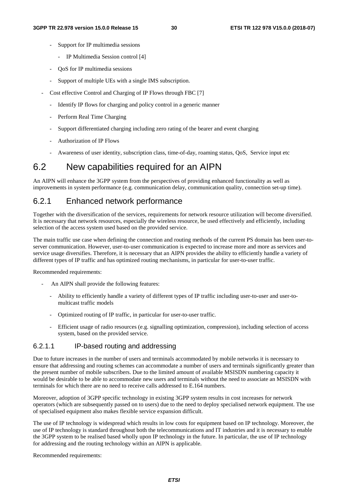- Support for IP multimedia sessions
	- IP Multimedia Session control [4]
- QoS for IP multimedia sessions
- Support of multiple UEs with a single IMS subscription.
- Cost effective Control and Charging of IP Flows through FBC [7]
	- Identify IP flows for charging and policy control in a generic manner
	- Perform Real Time Charging
	- Support differentiated charging including zero rating of the bearer and event charging
	- Authorization of IP Flows
	- Awareness of user identity, subscription class, time-of-day, roaming status, QoS, Service input etc

## 6.2 New capabilities required for an AIPN

An AIPN will enhance the 3GPP system from the perspectives of providing enhanced functionality as well as improvements in system performance (e.g. communication delay, communication quality, connection set-up time).

## 6.2.1 Enhanced network performance

Together with the diversification of the services, requirements for network resource utilization will become diversified. It is necessary that network resources, especially the wireless resource, be used effectively and efficiently, including selection of the access system used based on the provided service.

The main traffic use case when defining the connection and routing methods of the current PS domain has been user-toserver communication. However, user-to-user communication is expected to increase more and more as services and service usage diversifies. Therefore, it is necessary that an AIPN provides the ability to efficiently handle a variety of different types of IP traffic and has optimized routing mechanisms, in particular for user-to-user traffic.

Recommended requirements:

- An AIPN shall provide the following features:
	- Ability to efficiently handle a variety of different types of IP traffic including user-to-user and user-tomulticast traffic models
	- Optimized routing of IP traffic, in particular for user-to-user traffic.
	- Efficient usage of radio resources (e.g. signalling optimization, compression), including selection of access system, based on the provided service.

## 6.2.1.1 IP-based routing and addressing

Due to future increases in the number of users and terminals accommodated by mobile networks it is necessary to ensure that addressing and routing schemes can accommodate a number of users and terminals significantly greater than the present number of mobile subscribers. Due to the limited amount of available MSISDN numbering capacity it would be desirable to be able to accommodate new users and terminals without the need to associate an MSISDN with terminals for which there are no need to receive calls addressed to E.164 numbers.

Moreover, adoption of 3GPP specific technology in existing 3GPP system results in cost increases for network operators (which are subsequently passed on to users) due to the need to deploy specialised network equipment. The use of specialised equipment also makes flexible service expansion difficult.

The use of IP technology is widespread which results in low costs for equipment based on IP technology. Moreover, the use of IP technology is standard throughout both the telecommunications and IT industries and it is necessary to enable the 3GPP system to be realised based wholly upon IP technology in the future. In particular, the use of IP technology for addressing and the routing technology within an AIPN is applicable.

Recommended requirements: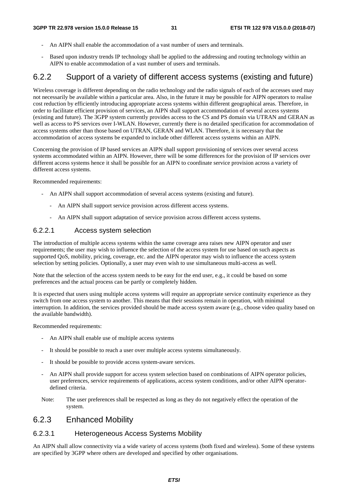- An AIPN shall enable the accommodation of a vast number of users and terminals.
- Based upon industry trends IP technology shall be applied to the addressing and routing technology within an AIPN to enable accommodation of a vast number of users and terminals.

## 6.2.2 Support of a variety of different access systems (existing and future)

Wireless coverage is different depending on the radio technology and the radio signals of each of the accesses used may not necessarily be available within a particular area. Also, in the future it may be possible for AIPN operators to realise cost reduction by efficiently introducing appropriate access systems within different geographical areas. Therefore, in order to facilitate efficient provision of services, an AIPN shall support accommodation of several access systems (existing and future). The 3GPP system currently provides access to the CS and PS domain via UTRAN and GERAN as well as access to PS services over I-WLAN. However, currently there is no detailed specification for accommodation of access systems other than those based on UTRAN, GERAN and WLAN. Therefore, it is necessary that the accommodation of access systems be expanded to include other different access systems within an AIPN.

Concerning the provision of IP based services an AIPN shall support provisioning of services over several access systems accommodated within an AIPN. However, there will be some differences for the provision of IP services over different access systems hence it shall be possible for an AIPN to coordinate service provision across a variety of different access systems.

Recommended requirements:

- An AIPN shall support accommodation of several access systems (existing and future).
	- An AIPN shall support service provision across different access systems.
	- An AIPN shall support adaptation of service provision across different access systems.

### 6.2.2.1 Access system selection

The introduction of multiple access systems within the same coverage area raises new AIPN operator and user requirements; the user may wish to influence the selection of the access system for use based on such aspects as supported QoS, mobility, pricing, coverage, etc. and the AIPN operator may wish to influence the access system selection by setting policies. Optionally, a user may even wish to use simultaneous multi-access as well.

Note that the selection of the access system needs to be easy for the end user, e.g., it could be based on some preferences and the actual process can be partly or completely hidden.

It is expected that users using multiple access systems will require an appropriate service continuity experience as they switch from one access system to another. This means that their sessions remain in operation, with minimal interruption. In addition, the services provided should be made access system aware (e.g., choose video quality based on the available bandwidth).

Recommended requirements:

- An AIPN shall enable use of multiple access systems
- It should be possible to reach a user over multiple access systems simultaneously.
- It should be possible to provide access system-aware services.
- An AIPN shall provide support for access system selection based on combinations of AIPN operator policies, user preferences, service requirements of applications, access system conditions, and/or other AIPN operatordefined criteria.
- Note: The user preferences shall be respected as long as they do not negatively effect the operation of the system.

## 6.2.3 Enhanced Mobility

### 6.2.3.1 Heterogeneous Access Systems Mobility

An AIPN shall allow connectivity via a wide variety of access systems (both fixed and wireless). Some of these systems are specified by 3GPP where others are developed and specified by other organisations.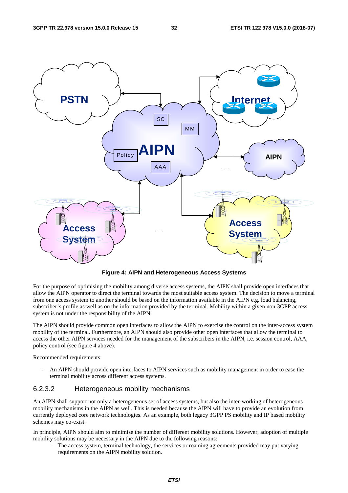

**Figure 4: AIPN and Heterogeneous Access Systems** 

For the purpose of optimising the mobility among diverse access systems, the AIPN shall provide open interfaces that allow the AIPN operator to direct the terminal towards the most suitable access system. The decision to move a terminal from one access system to another should be based on the information available in the AIPN e.g. load balancing, subscriber's profile as well as on the information provided by the terminal. Mobility within a given non-3GPP access system is not under the responsibility of the AIPN.

The AIPN should provide common open interfaces to allow the AIPN to exercise the control on the inter-access system mobility of the terminal. Furthermore, an AIPN should also provide other open interfaces that allow the terminal to access the other AIPN services needed for the management of the subscribers in the AIPN, i.e. session control, AAA, policy control (see figure 4 above).

Recommended requirements:

An AIPN should provide open interfaces to AIPN services such as mobility management in order to ease the terminal mobility across different access systems.

### 6.2.3.2 Heterogeneous mobility mechanisms

An AIPN shall support not only a heterogeneous set of access systems, but also the inter-working of heterogeneous mobility mechanisms in the AIPN as well. This is needed because the AIPN will have to provide an evolution from currently deployed core network technologies. As an example, both legacy 3GPP PS mobility and IP based mobility schemes may co-exist.

In principle, AIPN should aim to minimise the number of different mobility solutions. However, adoption of multiple mobility solutions may be necessary in the AIPN due to the following reasons:

The access system, terminal technology, the services or roaming agreements provided may put varying requirements on the AIPN mobility solution.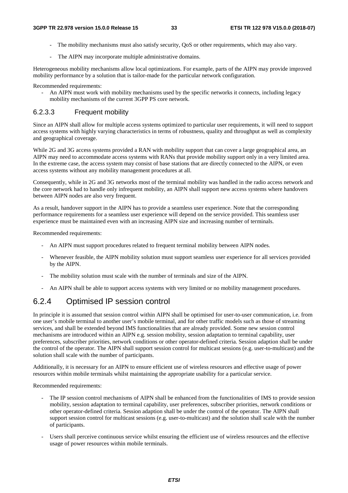- The mobility mechanisms must also satisfy security, QoS or other requirements, which may also vary.
- The AIPN may incorporate multiple administrative domains.

Heterogeneous mobility mechanisms allow local optimizations. For example, parts of the AIPN may provide improved mobility performance by a solution that is tailor-made for the particular network configuration.

Recommended requirements:

- An AIPN must work with mobility mechanisms used by the specific networks it connects, including legacy mobility mechanisms of the current 3GPP PS core network.

### 6.2.3.3 Frequent mobility

Since an AIPN shall allow for multiple access systems optimized to particular user requirements, it will need to support access systems with highly varying characteristics in terms of robustness, quality and throughput as well as complexity and geographical coverage.

While 2G and 3G access systems provided a RAN with mobility support that can cover a large geographical area, an AIPN may need to accommodate access systems with RANs that provide mobility support only in a very limited area. In the extreme case, the access system may consist of base stations that are directly connected to the AIPN, or even access systems without any mobility management procedures at all.

Consequently, while in 2G and 3G networks most of the terminal mobility was handled in the radio access network and the core network had to handle only infrequent mobility, an AIPN shall support new access systems where handovers between AIPN nodes are also very frequent.

As a result, handover support in the AIPN has to provide a seamless user experience. Note that the corresponding performance requirements for a seamless user experience will depend on the service provided. This seamless user experience must be maintained even with an increasing AIPN size and increasing number of terminals.

Recommended requirements:

- An AIPN must support procedures related to frequent terminal mobility between AIPN nodes.
- Whenever feasible, the AIPN mobility solution must support seamless user experience for all services provided by the AIPN.
- The mobility solution must scale with the number of terminals and size of the AIPN.
- An AIPN shall be able to support access systems with very limited or no mobility management procedures.

# 6.2.4 Optimised IP session control

In principle it is assumed that session control within AIPN shall be optimised for user-to-user communication, i.e. from one user's mobile terminal to another user's mobile terminal, and for other traffic models such as those of streaming services, and shall be extended beyond IMS functionalities that are already provided. Some new session control mechanisms are introduced within an AIPN e.g. session mobility, session adaptation to terminal capability, user preferences, subscriber priorities, network conditions or other operator-defined criteria. Session adaption shall be under the control of the operator. The AIPN shall support session control for multicast sessions (e.g. user-to-multicast) and the solution shall scale with the number of participants.

Additionally, it is necessary for an AIPN to ensure efficient use of wireless resources and effective usage of power resources within mobile terminals whilst maintaining the appropriate usability for a particular service.

Recommended requirements:

- The IP session control mechanisms of AIPN shall be enhanced from the functionalities of IMS to provide session mobility, session adaptation to terminal capability, user preferences, subscriber priorities, network conditions or other operator-defined criteria. Session adaption shall be under the control of the operator. The AIPN shall support session control for multicast sessions (e.g. user-to-multicast) and the solution shall scale with the number of participants.
- Users shall perceive continuous service whilst ensuring the efficient use of wireless resources and the effective usage of power resources within mobile terminals.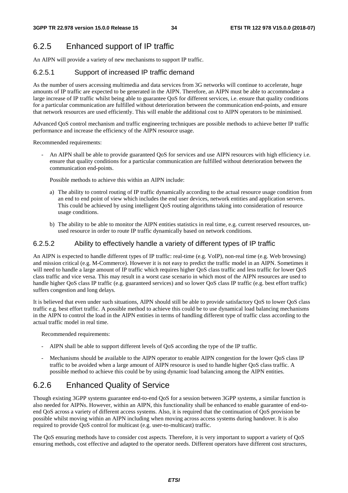# 6.2.5 Enhanced support of IP traffic

An AIPN will provide a variety of new mechanisms to support IP traffic.

## 6.2.5.1 Support of increased IP traffic demand

As the number of users accessing multimedia and data services from 3G networks will continue to accelerate, huge amounts of IP traffic are expected to be generated in the AIPN. Therefore, an AIPN must be able to accommodate a large increase of IP traffic whilst being able to guarantee QoS for different services, i.e. ensure that quality conditions for a particular communication are fulfilled without deterioration between the communication end-points, and ensure that network resources are used efficiently. This will enable the additional cost to AIPN operators to be minimised.

Advanced QoS control mechanism and traffic engineering techniques are possible methods to achieve better IP traffic performance and increase the efficiency of the AIPN resource usage.

Recommended requirements:

An AIPN shall be able to provide guaranteed OoS for services and use AIPN resources with high efficiency i.e. ensure that quality conditions for a particular communication are fulfilled without deterioration between the communication end-points.

Possible methods to achieve this within an AIPN include:

- a) The ability to control routing of IP traffic dynamically according to the actual resource usage condition from an end to end point of view which includes the end user devices, network entities and application servers. This could be achieved by using intelligent QoS routing algorithms taking into consideration of resource usage conditions.
- b) The ability to be able to monitor the AIPN entities statistics in real time, e.g. current reserved resources, unused resource in order to route IP traffic dynamically based on network conditions.

## 6.2.5.2 Ability to effectively handle a variety of different types of IP traffic

An AIPN is expected to handle different types of IP traffic: real-time (e.g. VoIP), non-real time (e.g. Web browsing) and mission critical (e.g. M-Commerce). However it is not easy to predict the traffic model in an AIPN. Sometimes it will need to handle a large amount of IP traffic which requires higher QoS class traffic and less traffic for lower QoS class traffic and vice versa. This may result in a worst case scenario in which most of the AIPN resources are used to handle higher QoS class IP traffic (e.g. guaranteed services) and so lower QoS class IP traffic (e.g. best effort traffic) suffers congestion and long delays.

It is believed that even under such situations, AIPN should still be able to provide satisfactory QoS to lower QoS class traffic e.g. best effort traffic. A possible method to achieve this could be to use dynamical load balancing mechanisms in the AIPN to control the load in the AIPN entities in terms of handling different type of traffic class according to the actual traffic model in real time.

Recommended requirements:

- AIPN shall be able to support different levels of QoS according the type of the IP traffic.
- Mechanisms should be available to the AIPN operator to enable AIPN congestion for the lower OoS class IP traffic to be avoided when a large amount of AIPN resource is used to handle higher QoS class traffic. A possible method to achieve this could be by using dynamic load balancing among the AIPN entities.

# 6.2.6 Enhanced Quality of Service

Though existing 3GPP systems guarantee end-to-end QoS for a session between 3GPP systems, a similar function is also needed for AIPNs. However, within an AIPN, this functionality shall be enhanced to enable guarantee of end-toend QoS across a variety of different access systems. Also, it is required that the continuation of QoS provision be possible whilst moving within an AIPN including when moving across access systems during handover. It is also required to provide QoS control for multicast (e.g. user-to-multicast) traffic.

The QoS ensuring methods have to consider cost aspects. Therefore, it is very important to support a variety of QoS ensuring methods, cost effective and adapted to the operator needs. Different operators have different cost structures,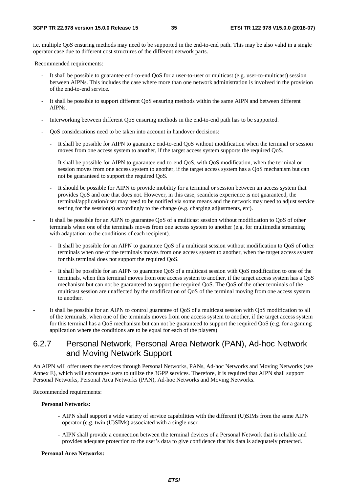i.e. multiple QoS ensuring methods may need to be supported in the end-to-end path. This may be also valid in a single operator case due to different cost structures of the different network parts.

Recommended requirements:

- It shall be possible to guarantee end-to-end QoS for a user-to-user or multicast (e.g. user-to-multicast) session between AIPNs. This includes the case where more than one network administration is involved in the provision of the end-to-end service.
- It shall be possible to support different QoS ensuring methods within the same AIPN and between different AIPNs.
- Interworking between different QoS ensuring methods in the end-to-end path has to be supported.
- QoS considerations need to be taken into account in handover decisions:
	- It shall be possible for AIPN to guarantee end-to-end QoS without modification when the terminal or session moves from one access system to another, if the target access system supports the required QoS.
	- It shall be possible for AIPN to guarantee end-to-end QoS, with QoS modification, when the terminal or session moves from one access system to another, if the target access system has a QoS mechanism but can not be guaranteed to support the required QoS.
	- It should be possible for AIPN to provide mobility for a terminal or session between an access system that provides QoS and one that does not. However, in this case, seamless experience is not guaranteed, the terminal/application/user may need to be notified via some means and the network may need to adjust service setting for the session(s) accordingly to the change (e.g. charging adjustments, etc).
- It shall be possible for an AIPN to guarantee QoS of a multicast session without modification to QoS of other terminals when one of the terminals moves from one access system to another (e.g. for multimedia streaming with adaptation to the conditions of each recipient).
	- It shall be possible for an AIPN to guarantee QoS of a multicast session without modification to QoS of other terminals when one of the terminals moves from one access system to another, when the target access system for this terminal does not support the required QoS.
	- It shall be possible for an AIPN to guarantee OoS of a multicast session with OoS modification to one of the terminals, when this terminal moves from one access system to another, if the target access system has a QoS mechanism but can not be guaranteed to support the required QoS. The QoS of the other terminals of the multicast session are unaffected by the modification of QoS of the terminal moving from one access system to another.
- It shall be possible for an AIPN to control guarantee of QoS of a multicast session with QoS modification to all of the terminals, when one of the terminals moves from one access system to another, if the target access system for this terminal has a QoS mechanism but can not be guaranteed to support the required QoS (e.g. for a gaming application where the conditions are to be equal for each of the players).

## 6.2.7 Personal Network, Personal Area Network (PAN), Ad-hoc Network and Moving Network Support

An AIPN will offer users the services through Personal Networks, PANs, Ad-hoc Networks and Moving Networks (see Annex E), which will encourage users to utilize the 3GPP services. Therefore, it is required that AIPN shall support Personal Networks, Personal Area Networks (PAN), Ad-hoc Networks and Moving Networks.

Recommended requirements:

#### **Personal Networks:**

- AIPN shall support a wide variety of service capabilities with the different (U)SIMs from the same AIPN operator (e.g. twin (U)SIMs) associated with a single user.
- AIPN shall provide a connection between the terminal devices of a Personal Network that is reliable and provides adequate protection to the user's data to give confidence that his data is adequately protected.

#### **Personal Area Networks:**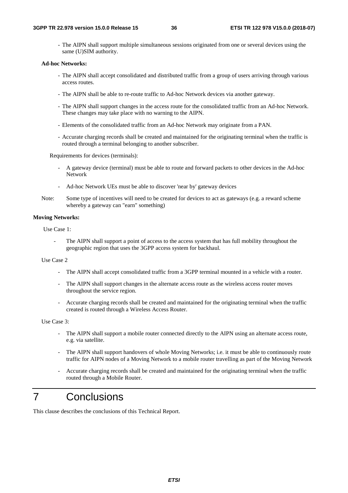- The AIPN shall support multiple simultaneous sessions originated from one or several devices using the same (U)SIM authority.

#### **Ad-hoc Networks:**

- The AIPN shall accept consolidated and distributed traffic from a group of users arriving through various access routes.
- The AIPN shall be able to re-route traffic to Ad-hoc Network devices via another gateway.
- The AIPN shall support changes in the access route for the consolidated traffic from an Ad-hoc Network. These changes may take place with no warning to the AIPN.
- Elements of the consolidated traffic from an Ad-hoc Network may originate from a PAN.
- Accurate charging records shall be created and maintained for the originating terminal when the traffic is routed through a terminal belonging to another subscriber.

Requirements for devices (terminals):

- A gateway device (terminal) must be able to route and forward packets to other devices in the Ad-hoc Network
- Ad-hoc Network UEs must be able to discover 'near by' gateway devices
- Note: Some type of incentives will need to be created for devices to act as gateways (e.g. a reward scheme whereby a gateway can "earn" something)

#### **Moving Networks:**

Use Case 1:

The AIPN shall support a point of access to the access system that has full mobility throughout the geographic region that uses the 3GPP access system for backhaul.

Use Case 2

- The AIPN shall accept consolidated traffic from a 3GPP terminal mounted in a vehicle with a router.
- The AIPN shall support changes in the alternate access route as the wireless access router moves throughout the service region.
- Accurate charging records shall be created and maintained for the originating terminal when the traffic created is routed through a Wireless Access Router.

Use Case 3:

- The AIPN shall support a mobile router connected directly to the AIPN using an alternate access route, e.g. via satellite.
- The AIPN shall support handovers of whole Moving Networks; i.e. it must be able to continuously route traffic for AIPN nodes of a Moving Network to a mobile router travelling as part of the Moving Network
- Accurate charging records shall be created and maintained for the originating terminal when the traffic routed through a Mobile Router.

# 7 Conclusions

This clause describes the conclusions of this Technical Report.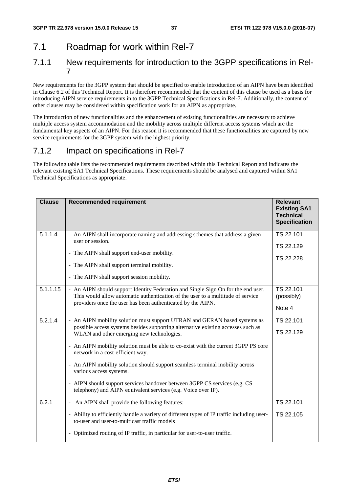# 7.1 Roadmap for work within Rel-7

## 7.1.1 New requirements for introduction to the 3GPP specifications in Rel-7

New requirements for the 3GPP system that should be specified to enable introduction of an AIPN have been identified in Clause 6.2 of this Technical Report. It is therefore recommended that the content of this clause be used as a basis for introducing AIPN service requirements in to the 3GPP Technical Specifications in Rel-7. Additionally, the content of other clauses may be considered within specification work for an AIPN as appropriate.

The introduction of new functionalities and the enhancement of existing functionalities are necessary to achieve multiple access system accommodation and the mobility across multiple different access systems which are the fundamental key aspects of an AIPN. For this reason it is recommended that these functionalities are captured by new service requirements for the 3GPP system with the highest priority.

## 7.1.2 Impact on specifications in Rel-7

The following table lists the recommended requirements described within this Technical Report and indicates the relevant existing SA1 Technical Specifications. These requirements should be analysed and captured within SA1 Technical Specifications as appropriate.

| <b>Clause</b> | <b>Recommended requirement</b>                                                                                                                                                                                                                                                                                                                                                                                                                                                                                                                                                                | <b>Relevant</b><br><b>Existing SA1</b><br><b>Technical</b><br><b>Specification</b> |
|---------------|-----------------------------------------------------------------------------------------------------------------------------------------------------------------------------------------------------------------------------------------------------------------------------------------------------------------------------------------------------------------------------------------------------------------------------------------------------------------------------------------------------------------------------------------------------------------------------------------------|------------------------------------------------------------------------------------|
| 5.1.1.4       | - An AIPN shall incorporate naming and addressing schemes that address a given<br>user or session.<br>- The AIPN shall support end-user mobility.<br>- The AIPN shall support terminal mobility.<br>- The AIPN shall support session mobility.                                                                                                                                                                                                                                                                                                                                                | TS 22.101<br>TS 22.129<br>TS 22.228                                                |
| 5.1.1.15      | - An AIPN should support Identity Federation and Single Sign On for the end user.<br>This would allow automatic authentication of the user to a multitude of service<br>providers once the user has been authenticated by the AIPN.                                                                                                                                                                                                                                                                                                                                                           | TS 22.101<br>(possibly)<br>Note 4                                                  |
| 5.2.1.4       | - An AIPN mobility solution must support UTRAN and GERAN based systems as<br>possible access systems besides supporting alternative existing accesses such as<br>WLAN and other emerging new technologies.<br>- An AIPN mobility solution must be able to co-exist with the current 3GPP PS core<br>network in a cost-efficient way.<br>- An AIPN mobility solution should support seamless terminal mobility across<br>various access systems.<br>- AIPN should support services handover between 3GPP CS services (e.g. CS<br>telephony) and AIPN equivalent services (e.g. Voice over IP). | TS 22.101<br>TS 22.129                                                             |
| 6.2.1         | - An AIPN shall provide the following features:<br>- Ability to efficiently handle a variety of different types of IP traffic including user-<br>to-user and user-to-multicast traffic models<br>- Optimized routing of IP traffic, in particular for user-to-user traffic.                                                                                                                                                                                                                                                                                                                   | TS 22.101<br>TS 22.105                                                             |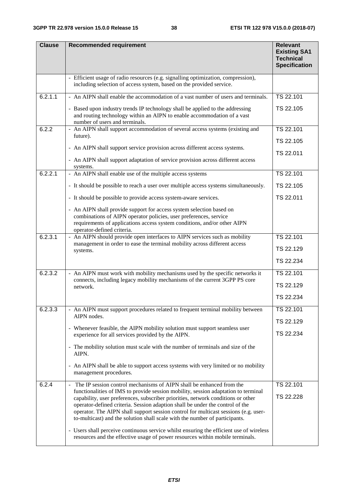| <b>Clause</b> | <b>Recommended requirement</b>                                                                                                                                                                                                                                                                                                                                                                                                                                                                                                                                                                                                                                                                      | <b>Relevant</b><br><b>Existing SA1</b><br><b>Technical</b><br><b>Specification</b> |
|---------------|-----------------------------------------------------------------------------------------------------------------------------------------------------------------------------------------------------------------------------------------------------------------------------------------------------------------------------------------------------------------------------------------------------------------------------------------------------------------------------------------------------------------------------------------------------------------------------------------------------------------------------------------------------------------------------------------------------|------------------------------------------------------------------------------------|
|               | - Efficient usage of radio resources (e.g. signalling optimization, compression),<br>including selection of access system, based on the provided service.                                                                                                                                                                                                                                                                                                                                                                                                                                                                                                                                           |                                                                                    |
| 6.2.1.1       | - An AIPN shall enable the accommodation of a vast number of users and terminals.<br>- Based upon industry trends IP technology shall be applied to the addressing                                                                                                                                                                                                                                                                                                                                                                                                                                                                                                                                  | TS 22.101<br>TS 22.105                                                             |
|               | and routing technology within an AIPN to enable accommodation of a vast<br>number of users and terminals.                                                                                                                                                                                                                                                                                                                                                                                                                                                                                                                                                                                           |                                                                                    |
| 6.2.2         | - An AIPN shall support accommodation of several access systems (existing and<br>future).                                                                                                                                                                                                                                                                                                                                                                                                                                                                                                                                                                                                           | TS 22.101<br>TS 22.105                                                             |
|               | - An AIPN shall support service provision across different access systems.                                                                                                                                                                                                                                                                                                                                                                                                                                                                                                                                                                                                                          | TS 22.011                                                                          |
|               | - An AIPN shall support adaptation of service provision across different access<br>systems.                                                                                                                                                                                                                                                                                                                                                                                                                                                                                                                                                                                                         |                                                                                    |
| 6.2.2.1       | - An AIPN shall enable use of the multiple access systems                                                                                                                                                                                                                                                                                                                                                                                                                                                                                                                                                                                                                                           | TS 22.101                                                                          |
|               | - It should be possible to reach a user over multiple access systems simultaneously.                                                                                                                                                                                                                                                                                                                                                                                                                                                                                                                                                                                                                | TS 22.105                                                                          |
|               | - It should be possible to provide access system-aware services.                                                                                                                                                                                                                                                                                                                                                                                                                                                                                                                                                                                                                                    | TS 22.011                                                                          |
|               | - An AIPN shall provide support for access system selection based on<br>combinations of AIPN operator policies, user preferences, service<br>requirements of applications access system conditions, and/or other AIPN<br>operator-defined criteria.                                                                                                                                                                                                                                                                                                                                                                                                                                                 |                                                                                    |
| 6.2.3.1       | - An AIPN should provide open interfaces to AIPN services such as mobility<br>management in order to ease the terminal mobility across different access                                                                                                                                                                                                                                                                                                                                                                                                                                                                                                                                             | TS 22.101                                                                          |
|               | systems.                                                                                                                                                                                                                                                                                                                                                                                                                                                                                                                                                                                                                                                                                            | TS 22.129                                                                          |
|               |                                                                                                                                                                                                                                                                                                                                                                                                                                                                                                                                                                                                                                                                                                     | TS 22.234                                                                          |
| 6.2.3.2       | - An AIPN must work with mobility mechanisms used by the specific networks it<br>connects, including legacy mobility mechanisms of the current 3GPP PS core                                                                                                                                                                                                                                                                                                                                                                                                                                                                                                                                         | TS 22.101                                                                          |
|               | network.                                                                                                                                                                                                                                                                                                                                                                                                                                                                                                                                                                                                                                                                                            | TS 22.129                                                                          |
|               |                                                                                                                                                                                                                                                                                                                                                                                                                                                                                                                                                                                                                                                                                                     | TS 22.234                                                                          |
| 6.2.3.3       | - An AIPN must support procedures related to frequent terminal mobility between<br>AIPN nodes.                                                                                                                                                                                                                                                                                                                                                                                                                                                                                                                                                                                                      | TS 22.101                                                                          |
|               | - Whenever feasible, the AIPN mobility solution must support seamless user                                                                                                                                                                                                                                                                                                                                                                                                                                                                                                                                                                                                                          | TS 22.129                                                                          |
|               | experience for all services provided by the AIPN.                                                                                                                                                                                                                                                                                                                                                                                                                                                                                                                                                                                                                                                   | TS 22.234                                                                          |
|               | - The mobility solution must scale with the number of terminals and size of the<br>AIPN.                                                                                                                                                                                                                                                                                                                                                                                                                                                                                                                                                                                                            |                                                                                    |
|               | - An AIPN shall be able to support access systems with very limited or no mobility<br>management procedures.                                                                                                                                                                                                                                                                                                                                                                                                                                                                                                                                                                                        |                                                                                    |
| 6.2.4         | The IP session control mechanisms of AIPN shall be enhanced from the<br>$\blacksquare$<br>functionalities of IMS to provide session mobility, session adaptation to terminal<br>capability, user preferences, subscriber priorities, network conditions or other<br>operator-defined criteria. Session adaption shall be under the control of the<br>operator. The AIPN shall support session control for multicast sessions (e.g. user-<br>to-multicast) and the solution shall scale with the number of participants.<br>- Users shall perceive continuous service whilst ensuring the efficient use of wireless<br>resources and the effective usage of power resources within mobile terminals. | TS 22.101<br>TS 22.228                                                             |
|               |                                                                                                                                                                                                                                                                                                                                                                                                                                                                                                                                                                                                                                                                                                     |                                                                                    |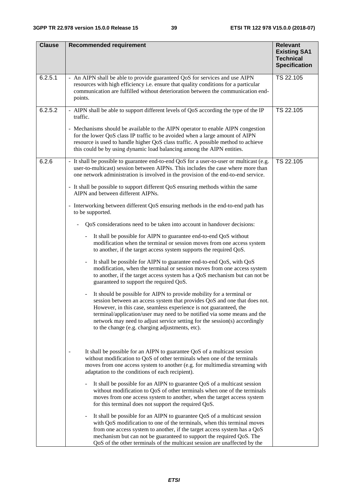| <b>Clause</b> | <b>Recommended requirement</b>                                                                                                                                                                                                                                                                                                                                                                                                     | <b>Relevant</b><br><b>Existing SA1</b>   |
|---------------|------------------------------------------------------------------------------------------------------------------------------------------------------------------------------------------------------------------------------------------------------------------------------------------------------------------------------------------------------------------------------------------------------------------------------------|------------------------------------------|
|               |                                                                                                                                                                                                                                                                                                                                                                                                                                    | <b>Technical</b><br><b>Specification</b> |
| 6.2.5.1       | - An AIPN shall be able to provide guaranteed QoS for services and use AIPN<br>resources with high efficiency i.e. ensure that quality conditions for a particular<br>communication are fulfilled without deterioration between the communication end-<br>points.                                                                                                                                                                  | TS 22.105                                |
| 6.2.5.2       | - AIPN shall be able to support different levels of QoS according the type of the IP<br>traffic.                                                                                                                                                                                                                                                                                                                                   | TS 22.105                                |
|               | - Mechanisms should be available to the AIPN operator to enable AIPN congestion<br>for the lower QoS class IP traffic to be avoided when a large amount of AIPN<br>resource is used to handle higher QoS class traffic. A possible method to achieve<br>this could be by using dynamic load balancing among the AIPN entities.                                                                                                     |                                          |
| 6.2.6         | It shall be possible to guarantee end-to-end QoS for a user-to-user or multicast (e.g.<br>user-to-multicast) session between AIPNs. This includes the case where more than<br>one network administration is involved in the provision of the end-to-end service.                                                                                                                                                                   | TS 22.105                                |
|               | - It shall be possible to support different QoS ensuring methods within the same<br>AIPN and between different AIPNs.                                                                                                                                                                                                                                                                                                              |                                          |
|               | - Interworking between different QoS ensuring methods in the end-to-end path has<br>to be supported.                                                                                                                                                                                                                                                                                                                               |                                          |
|               | QoS considerations need to be taken into account in handover decisions:                                                                                                                                                                                                                                                                                                                                                            |                                          |
|               | It shall be possible for AIPN to guarantee end-to-end QoS without<br>$\blacksquare$<br>modification when the terminal or session moves from one access system<br>to another, if the target access system supports the required QoS.                                                                                                                                                                                                |                                          |
|               | It shall be possible for AIPN to guarantee end-to-end QoS, with QoS<br>modification, when the terminal or session moves from one access system<br>to another, if the target access system has a QoS mechanism but can not be<br>guaranteed to support the required QoS.                                                                                                                                                            |                                          |
|               | It should be possible for AIPN to provide mobility for a terminal or<br>session between an access system that provides QoS and one that does not.<br>However, in this case, seamless experience is not guaranteed, the<br>terminal/application/user may need to be notified via some means and the<br>network may need to adjust service setting for the session(s) accordingly<br>to the change (e.g. charging adjustments, etc). |                                          |
|               | It shall be possible for an AIPN to guarantee QoS of a multicast session<br>without modification to QoS of other terminals when one of the terminals<br>moves from one access system to another (e.g. for multimedia streaming with<br>adaptation to the conditions of each recipient).                                                                                                                                            |                                          |
|               | It shall be possible for an AIPN to guarantee QoS of a multicast session<br>without modification to QoS of other terminals when one of the terminals<br>moves from one access system to another, when the target access system<br>for this terminal does not support the required QoS.                                                                                                                                             |                                          |
|               | It shall be possible for an AIPN to guarantee QoS of a multicast session<br>with QoS modification to one of the terminals, when this terminal moves<br>from one access system to another, if the target access system has a QoS<br>mechanism but can not be guaranteed to support the required QoS. The<br>QoS of the other terminals of the multicast session are unaffected by the                                               |                                          |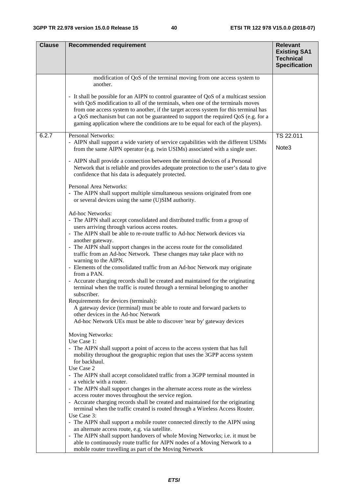| <b>Clause</b> | <b>Recommended requirement</b>                                                                                                                                                                                                                                                                                                                                                                                                            | <b>Relevant</b>                                                 |
|---------------|-------------------------------------------------------------------------------------------------------------------------------------------------------------------------------------------------------------------------------------------------------------------------------------------------------------------------------------------------------------------------------------------------------------------------------------------|-----------------------------------------------------------------|
|               |                                                                                                                                                                                                                                                                                                                                                                                                                                           | <b>Existing SA1</b><br><b>Technical</b><br><b>Specification</b> |
|               | modification of QoS of the terminal moving from one access system to<br>another.                                                                                                                                                                                                                                                                                                                                                          |                                                                 |
|               | - It shall be possible for an AIPN to control guarantee of QoS of a multicast session<br>with QoS modification to all of the terminals, when one of the terminals moves<br>from one access system to another, if the target access system for this terminal has<br>a QoS mechanism but can not be guaranteed to support the required QoS (e.g. for a<br>gaming application where the conditions are to be equal for each of the players). |                                                                 |
| 6.2.7         | <b>Personal Networks:</b><br>- AIPN shall support a wide variety of service capabilities with the different USIMs                                                                                                                                                                                                                                                                                                                         | TS 22.011                                                       |
|               | from the same AIPN operator (e.g. twin USIMs) associated with a single user.                                                                                                                                                                                                                                                                                                                                                              | Note <sub>3</sub>                                               |
|               | - AIPN shall provide a connection between the terminal devices of a Personal<br>Network that is reliable and provides adequate protection to the user's data to give<br>confidence that his data is adequately protected.                                                                                                                                                                                                                 |                                                                 |
|               | Personal Area Networks:<br>- The AIPN shall support multiple simultaneous sessions originated from one<br>or several devices using the same (U)SIM authority.                                                                                                                                                                                                                                                                             |                                                                 |
|               |                                                                                                                                                                                                                                                                                                                                                                                                                                           |                                                                 |
|               | <b>Ad-hoc Networks:</b><br>- The AIPN shall accept consolidated and distributed traffic from a group of                                                                                                                                                                                                                                                                                                                                   |                                                                 |
|               | users arriving through various access routes.                                                                                                                                                                                                                                                                                                                                                                                             |                                                                 |
|               | - The AIPN shall be able to re-route traffic to Ad-hoc Network devices via<br>another gateway.                                                                                                                                                                                                                                                                                                                                            |                                                                 |
|               | - The AIPN shall support changes in the access route for the consolidated<br>traffic from an Ad-hoc Network. These changes may take place with no<br>warning to the AIPN.                                                                                                                                                                                                                                                                 |                                                                 |
|               | - Elements of the consolidated traffic from an Ad-hoc Network may originate<br>from a PAN.                                                                                                                                                                                                                                                                                                                                                |                                                                 |
|               | - Accurate charging records shall be created and maintained for the originating<br>terminal when the traffic is routed through a terminal belonging to another<br>subscriber.                                                                                                                                                                                                                                                             |                                                                 |
|               | Requirements for devices (terminals):                                                                                                                                                                                                                                                                                                                                                                                                     |                                                                 |
|               | A gateway device (terminal) must be able to route and forward packets to<br>other devices in the Ad-hoc Network                                                                                                                                                                                                                                                                                                                           |                                                                 |
|               | Ad-hoc Network UEs must be able to discover 'near by' gateway devices                                                                                                                                                                                                                                                                                                                                                                     |                                                                 |
|               | Moving Networks:                                                                                                                                                                                                                                                                                                                                                                                                                          |                                                                 |
|               | Use Case 1:<br>- The AIPN shall support a point of access to the access system that has full                                                                                                                                                                                                                                                                                                                                              |                                                                 |
|               | mobility throughout the geographic region that uses the 3GPP access system<br>for backhaul.                                                                                                                                                                                                                                                                                                                                               |                                                                 |
|               | Use Case 2<br>- The AIPN shall accept consolidated traffic from a 3GPP terminal mounted in                                                                                                                                                                                                                                                                                                                                                |                                                                 |
|               | a vehicle with a router.                                                                                                                                                                                                                                                                                                                                                                                                                  |                                                                 |
|               | - The AIPN shall support changes in the alternate access route as the wireless<br>access router moves throughout the service region.                                                                                                                                                                                                                                                                                                      |                                                                 |
|               | - Accurate charging records shall be created and maintained for the originating                                                                                                                                                                                                                                                                                                                                                           |                                                                 |
|               | terminal when the traffic created is routed through a Wireless Access Router.<br>Use Case 3:                                                                                                                                                                                                                                                                                                                                              |                                                                 |
|               | - The AIPN shall support a mobile router connected directly to the AIPN using                                                                                                                                                                                                                                                                                                                                                             |                                                                 |
|               | an alternate access route, e.g. via satellite.                                                                                                                                                                                                                                                                                                                                                                                            |                                                                 |
|               | - The AIPN shall support handovers of whole Moving Networks; i.e. it must be<br>able to continuously route traffic for AIPN nodes of a Moving Network to a                                                                                                                                                                                                                                                                                |                                                                 |
|               | mobile router travelling as part of the Moving Network                                                                                                                                                                                                                                                                                                                                                                                    |                                                                 |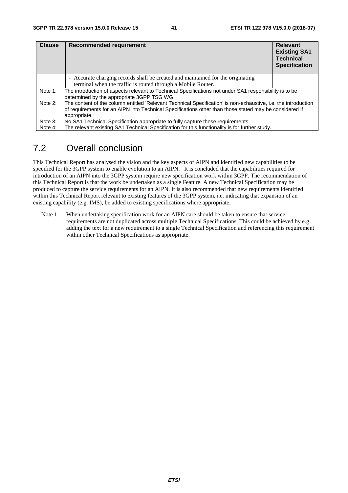| <b>Clause</b> | <b>Recommended requirement</b>                                                                                                                                                                                           | <b>Relevant</b><br><b>Existing SA1</b><br><b>Technical</b><br><b>Specification</b> |
|---------------|--------------------------------------------------------------------------------------------------------------------------------------------------------------------------------------------------------------------------|------------------------------------------------------------------------------------|
|               | - Accurate charging records shall be created and maintained for the originating                                                                                                                                          |                                                                                    |
|               | terminal when the traffic is routed through a Mobile Router.                                                                                                                                                             |                                                                                    |
| Note 1:       | The introduction of aspects relevant to Technical Specifications not under SA1 responsibility is to be<br>determined by the appropriate 3GPP TSG WG.                                                                     |                                                                                    |
| Note 2:       | The content of the column entitled 'Relevant Technical Specification' is non-exhaustive, i.e. the introduction<br>of requirements for an AIPN into Technical Specifications other than those stated may be considered if |                                                                                    |
|               | appropriate.                                                                                                                                                                                                             |                                                                                    |
| Note 3:       | No SA1 Technical Specification appropriate to fully capture these requirements.                                                                                                                                          |                                                                                    |
| Note 4:       | The relevant existing SA1 Technical Specification for this functionality is for further study.                                                                                                                           |                                                                                    |

# 7.2 Overall conclusion

This Technical Report has analysed the vision and the key aspects of AIPN and identified new capabilities to be specified for the 3GPP system to enable evolution to an AIPN. It is concluded that the capabilities required for introduction of an AIPN into the 3GPP system require new specification work within 3GPP. The recommendation of this Technical Report is that the work be undertaken as a single Feature. A new Technical Specification may be produced to capture the service requirements for an AIPN. It is also recommended that new requirements identified within this Technical Report relevant to existing features of the 3GPP system, i.e. indicating that expansion of an existing capability (e.g. IMS), be added to existing specifications where appropriate.

Note 1: When undertaking specification work for an AIPN care should be taken to ensure that service requirements are not duplicated across multiple Technical Specifications. This could be achieved by e.g. adding the text for a new requirement to a single Technical Specification and referencing this requirement within other Technical Specifications as appropriate.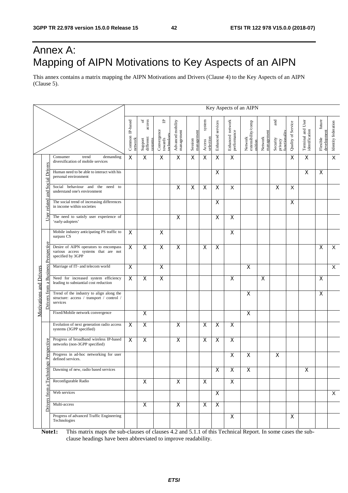# Annex A: Mapping of AIPN Motivations to Key Aspects of an AIPN

This annex contains a matrix mapping the AIPN Motivations and Drivers (Clause 4) to the Key Aspects of an AIPN (Clause 5).

|                         |                                     |                                                                                                   | Key Aspects of an AIPN     |                                                             |                                           |                                 |                       |                               |                         |                                 |                                          |                       |                                             |                    |                                     |                                   |                         |
|-------------------------|-------------------------------------|---------------------------------------------------------------------------------------------------|----------------------------|-------------------------------------------------------------|-------------------------------------------|---------------------------------|-----------------------|-------------------------------|-------------------------|---------------------------------|------------------------------------------|-----------------------|---------------------------------------------|--------------------|-------------------------------------|-----------------------------------|-------------------------|
|                         |                                     |                                                                                                   | Common IP-based<br>network | $\mathfrak{b}$<br>access<br>Support<br>different<br>systems | 凸<br>Convergence<br>towards<br>technology | Advanced mobility<br>management | management<br>Session | system<br>selection<br>Access | Enhanced services       | Enhanced network<br>performance | Network<br>extensibility/comp<br>osition | management<br>Network | and<br>functionality<br>Security<br>privacy | Quality of Service | Terminal and User<br>identification | future<br>development<br>Flexible | Identity federation     |
|                         |                                     | Consumer<br>demanding<br>trend<br>diversification of mobile services                              | X                          | X                                                           | $\overline{\mathsf{x}}$                   | $\overline{\mathsf{x}}$         | X                     | $\overline{\mathsf{x}}$       | $\overline{\mathsf{x}}$ | $\overline{\mathsf{x}}$         |                                          |                       |                                             | X                  | X                                   |                                   | $\overline{\mathsf{x}}$ |
|                         | <b>Social Drivers</b>               | Human need to be able to interact with his<br>personal environment                                |                            |                                                             |                                           |                                 |                       |                               | $\mathsf{X}$            |                                 |                                          |                       |                                             |                    | X                                   | $\overline{\mathsf{x}}$           |                         |
|                         | and                                 | Social behaviour and the<br>need to<br>understand one's environment                               |                            |                                                             |                                           | X                               | X                     | X                             | X                       | Χ                               |                                          |                       | X                                           | X                  |                                     |                                   |                         |
|                         | related                             | The social trend of increasing differences<br>in income within societies                          |                            |                                                             |                                           |                                 |                       |                               | X                       |                                 |                                          |                       |                                             | X                  |                                     |                                   |                         |
|                         | User                                | The need to satisfy user experience of<br>'early-adopters'                                        |                            |                                                             |                                           | $\overline{\mathsf{x}}$         |                       |                               | $\overline{\mathsf{x}}$ | $\overline{\mathsf{x}}$         |                                          |                       |                                             |                    |                                     |                                   |                         |
|                         |                                     | Mobile industry anticipating PS traffic to<br>surpass CS                                          | X                          |                                                             | X                                         |                                 |                       |                               |                         | X                               |                                          |                       |                                             |                    |                                     |                                   |                         |
|                         | Drivers from a Business Perspective | Desire of AIPN operators to encompass<br>various access systems that are not<br>specified by 3GPP | X                          | X                                                           | X                                         | X                               |                       | X                             | X                       |                                 |                                          |                       |                                             |                    |                                     | X                                 | X                       |
|                         |                                     | Marriage of IT- and telecom world                                                                 | $\mathsf{X}$               |                                                             | $\overline{\mathsf{x}}$                   |                                 |                       |                               |                         |                                 | X                                        |                       |                                             |                    |                                     |                                   | $\mathsf{X}$            |
|                         |                                     | Need for increased system efficiency<br>leading to substantial cost reduction                     | X                          | $\pmb{\times}$                                              | X                                         |                                 |                       |                               |                         | X                               |                                          | X                     |                                             |                    |                                     | X                                 |                         |
| Motivations and Drivers |                                     | Trend of the industry to align along the<br>structure: access / transport / control /<br>services |                            |                                                             |                                           |                                 |                       |                               |                         |                                 | $\overline{\mathsf{x}}$                  |                       |                                             |                    |                                     | X                                 |                         |
|                         |                                     | Fixed/Mobile network convergence                                                                  |                            | $\overline{\mathsf{x}}$                                     |                                           |                                 |                       |                               |                         |                                 | X                                        |                       |                                             |                    |                                     |                                   |                         |
|                         |                                     | Evolution of next generation radio access<br>systems (3GPP specified)                             | X                          | $\pmb{\times}$                                              |                                           | X                               |                       | X                             | X                       | X                               |                                          |                       |                                             |                    |                                     |                                   |                         |
|                         |                                     | Progress of broadband wireless IP-based<br>networks (non-3GPP specified)                          | X                          | $\overline{\mathsf{x}}$                                     |                                           | X                               |                       | X                             | X                       | X                               |                                          |                       |                                             |                    |                                     |                                   |                         |
|                         | zy Perspective                      | Progress in ad-hoc networking for user<br>defined services.                                       |                            |                                                             |                                           |                                 |                       |                               |                         | X                               | $\pmb{\mathsf{X}}$                       |                       | $\pmb{\times}$                              |                    |                                     |                                   |                         |
|                         | Technolo                            | Dawning of new, radio based services                                                              |                            |                                                             |                                           |                                 |                       |                               | X                       | Х                               | X                                        |                       |                                             |                    | Х                                   |                                   |                         |
|                         | ß                                   | Reconfigurable Radio                                                                              |                            | $\mathsf X$                                                 |                                           | $\mathsf{X}$                    |                       | $\mathsf{X}$                  |                         | $\mathsf{X}$                    |                                          |                       |                                             |                    |                                     |                                   |                         |
|                         | Drivers from                        | Web services                                                                                      |                            |                                                             |                                           |                                 |                       |                               | $\overline{X}$          |                                 |                                          |                       |                                             |                    |                                     |                                   | X                       |
|                         |                                     | Multi-access                                                                                      |                            | $\overline{X}$                                              |                                           | $\overline{\mathsf{x}}$         |                       | $\mathsf{X}$                  | $\mathsf{X}$            |                                 |                                          |                       |                                             |                    |                                     |                                   |                         |
|                         |                                     | Progress of advanced Traffic Engineering<br>Technologies                                          |                            |                                                             |                                           |                                 |                       |                               |                         | $\pmb{\times}$                  |                                          |                       |                                             | $\mathsf{X}$       |                                     |                                   |                         |

**Note1:** This matrix maps the sub-clauses of clauses 4.2 and 5.1.1 of this Technical Report. In some cases the subclause headings have been abbreviated to improve readability.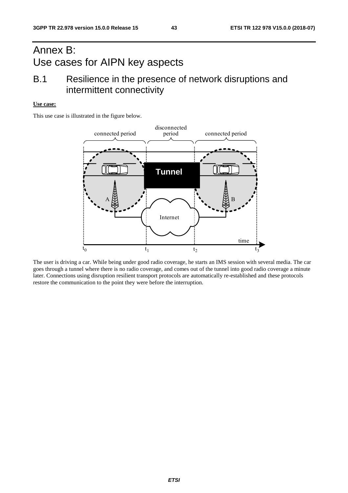# Annex B: Use cases for AIPN key aspects

# B.1 Resilience in the presence of network disruptions and intermittent connectivity

#### **Use case:**

This use case is illustrated in the figure below.



The user is driving a car. While being under good radio coverage, he starts an IMS session with several media. The car goes through a tunnel where there is no radio coverage, and comes out of the tunnel into good radio coverage a minute later. Connections using disruption resilient transport protocols are automatically re-established and these protocols restore the communication to the point they were before the interruption.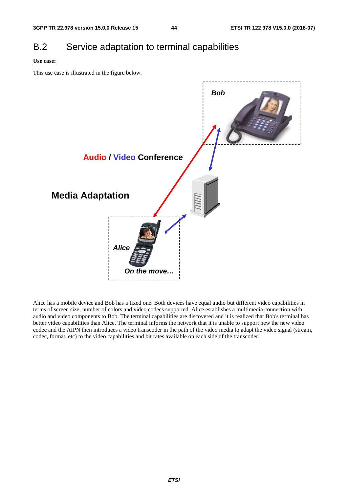# B.2 Service adaptation to terminal capabilities

#### **Use case:**

This use case is illustrated in the figure below.



Alice has a mobile device and Bob has a fixed one. Both devices have equal audio but different video capabilities in terms of screen size, number of colors and video codecs supported. Alice establishes a multimedia connection with audio and video components to Bob. The terminal capabilities are discovered and it is realized that Bob's terminal has better video capabilities than Alice. The terminal informs the network that it is unable to support new the new video codec and the AIPN then introduces a video transcoder in the path of the video media to adapt the video signal (stream, codec, format, etc) to the video capabilities and bit rates available on each side of the transcoder.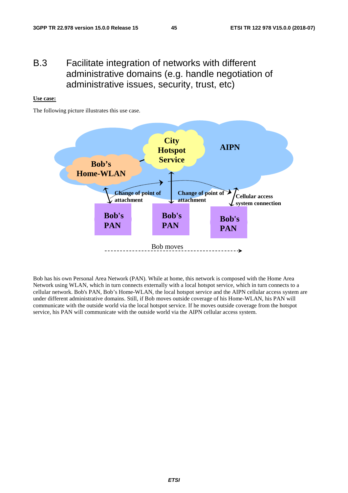# B.3 Facilitate integration of networks with different administrative domains (e.g. handle negotiation of administrative issues, security, trust, etc)

#### **Use case:**

The following picture illustrates this use case.



Bob has his own Personal Area Network (PAN). While at home, this network is composed with the Home Area Network using WLAN, which in turn connects externally with a local hotspot service, which in turn connects to a cellular network. Bob's PAN, Bob's Home-WLAN, the local hotspot service and the AIPN cellular access system are under different administrative domains. Still, if Bob moves outside coverage of his Home-WLAN, his PAN will communicate with the outside world via the local hotspot service. If he moves outside coverage from the hotspot service, his PAN will communicate with the outside world via the AIPN cellular access system.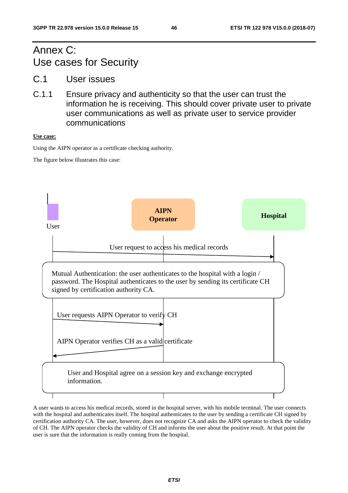# Annex C: Use cases for Security

- C.1 User issues
- C.1.1 Ensure privacy and authenticity so that the user can trust the information he is receiving. This should cover private user to private user communications as well as private user to service provider communications

**Use case:** 

Using the AIPN operator as a certificate checking authority.

The figure below illustrates this case:



A user wants to access his medical records, stored in the hospital server, with his mobile terminal. The user connects with the hospital and authenticates itself. The hospital authenticates to the user by sending a certificate CH signed by certification authority CA. The user, however, does not recognize CA and asks the AIPN operator to check the validity of CH. The AIPN operator checks the validity of CH and informs the user about the positive result. At that point the user is sure that the information is really coming from the hospital.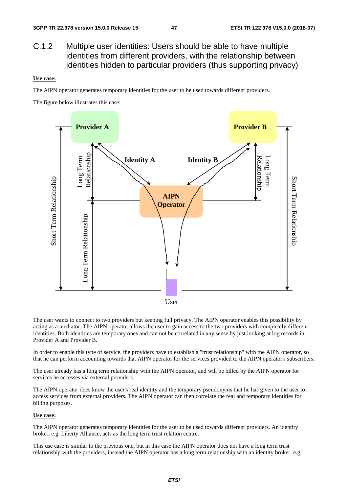C.1.2 Multiple user identities: Users should be able to have multiple identities from different providers, with the relationship between identities hidden to particular providers (thus supporting privacy)

#### **Use case:**

The AIPN operator generates temporary identities for the user to be used towards different providers.

The figure below illustrates this case:



The user wants to connect to two providers but keeping full privacy. The AIPN operator enables this possibility by acting as a mediator. The AIPN operator allows the user to gain access to the two providers with completely different identities. Both identities are temporary ones and can not be correlated in any sense by just looking at log records in Provider A and Provider B.

In order to enable this type of service, the providers have to establish a "trust relationship" with the AIPN operator, so that he can perform accounting towards that AIPN operator for the services provided to the AIPN operator's subscribers.

The user already has a long term relationship with the AIPN operator, and will be billed by the AIPN operator for services he accesses via external providers.

The AIPN operator does know the user's real identity and the temporary pseudonyms that he has given to the user to access services from external providers. The AIPN operator can then correlate the real and temporary identities for billing purposes.

#### **Use case:**

The AIPN operator generates temporary identities for the user to be used towards different providers. An identity broker, e.g. Liberty Alliance, acts as the long term trust relation centre.

This use case is similar to the previous one, but in this case the AIPN operator does not have a long term trust relationship with the providers, instead the AIPN operator has a long term relationship with an identity broker, e.g.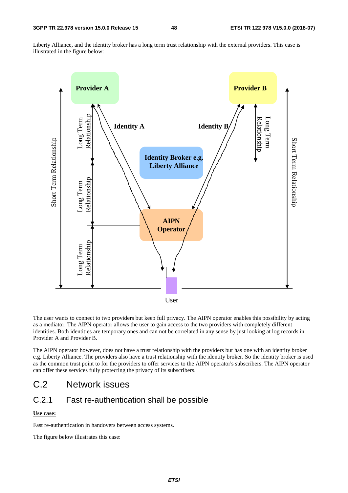Liberty Alliance, and the identity broker has a long term trust relationship with the external providers. This case is illustrated in the figure below:



The user wants to connect to two providers but keep full privacy. The AIPN operator enables this possibility by acting as a mediator. The AIPN operator allows the user to gain access to the two providers with completely different identities. Both identities are temporary ones and can not be correlated in any sense by just looking at log records in Provider A and Provider B.

The AIPN operator however, does not have a trust relationship with the providers but has one with an identity broker e.g. Liberty Alliance. The providers also have a trust relationship with the identity broker. So the identity broker is used as the common trust point to for the providers to offer services to the AIPN operator's subscribers. The AIPN operator can offer these services fully protecting the privacy of its subscribers.

# C.2 Network issues

## C.2.1 Fast re-authentication shall be possible

#### **Use case:**

Fast re-authentication in handovers between access systems.

The figure below illustrates this case: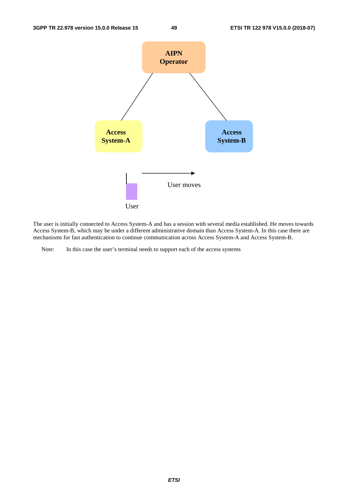

The user is initially connected to Access System-A and has a session with several media established. He moves towards Access System-B, which may be under a different administrative domain than Access System-A. In this case there are mechanisms for fast authentication to continue communication across Access System-A and Access System-B.

Note: In this case the user's terminal needs to support each of the access systems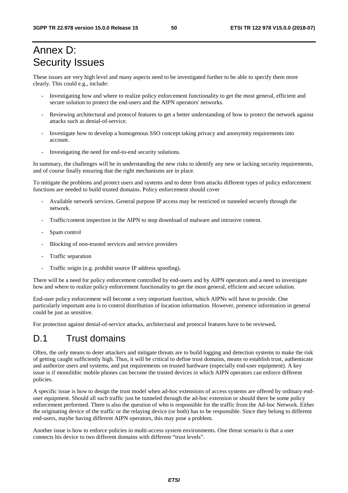# Annex D: Security Issues

These issues are very high level and many aspects need to be investigated further to be able to specify them more clearly. This could e.g., include:

- Investigating how and where to realize policy enforcement functionality to get the most general, efficient and secure solution to protect the end-users and the AIPN operators' networks.
- Reviewing architectural and protocol features to get a better understanding of how to protect the network against attacks such as denial-of-service.
- Investigate how to develop a homogenous SSO concept taking privacy and anonymity requirements into account.
- Investigating the need for end-to-end security solutions.

In summary, the challenges will be in understanding the new risks to identify any new or lacking security requirements, and of course finally ensuring that the right mechanisms are in place.

To mitigate the problems and protect users and systems and to deter from attacks different types of policy enforcement functions are needed to build trusted domains. Policy enforcement should cover

- Available network services. General purpose IP access may be restricted or tunneled securely through the network.
- Traffic/content inspection in the AIPN to stop download of malware and intrusive content.
- Spam control
- Blocking of non-trusted services and service providers
- Traffic separation
- Traffic origin (e.g. prohibit source IP address spoofing).

There will be a need for policy enforcement controlled by end-users and by AIPN operators and a need to investigate how and where to realize policy enforcement functionality to get the most general, efficient and secure solution.

End-user policy enforcement will become a very important function, which AIPNs will have to provide. One particularly important area is to control distribution of location information. However, presence information in general could be just as sensitive.

For protection against denial-of-service attacks, architectural and protocol features have to be reviewed**.** 

# D.1 Trust domains

Often, the only means to deter attackers and mitigate threats are to build logging and detection systems to make the risk of getting caught sufficiently high. Thus, it will be critical to define trust domains, means to establish trust, authenticate and authorize users and systems, and put requirements on trusted hardware (especially end-user equipment). A key issue is if monolithic mobile phones can become the trusted devices in which AIPN operators can enforce different policies.

A specific issue is how to design the trust model when ad-hoc extensions of access systems are offered by ordinary enduser equipment. Should all such traffic just be tunneled through the ad-hoc extension or should there be some policy enforcement performed. There is also the question of who is responsible for the traffic from the Ad-hoc Network. Either the originating device of the traffic or the relaying device (or both) has to be responsible. Since they belong to different end-users, maybe having different AIPN operators, this may pose a problem.

Another issue is how to enforce policies in multi-access system environments. One threat scenario is that a user connects his device to two different domains with different "trust levels".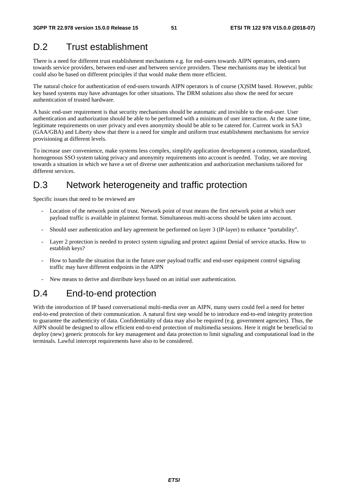# D.2 Trust establishment

There is a need for different trust establishment mechanisms e.g. for end-users towards AIPN operators, end-users towards service providers, between end-user and between service providers. These mechanisms may be identical but could also be based on different principles if that would make them more efficient.

The natural choice for authentication of end-users towards AIPN operators is of course (X)SIM based. However, public key based systems may have advantages for other situations. The DRM solutions also show the need for secure authentication of trusted hardware.

A basic end-user requirement is that security mechanisms should be automatic and invisible to the end-user. User authentication and authorization should be able to be performed with a minimum of user interaction. At the same time, legitimate requirements on user privacy and even anonymity should be able to be catered for. Current work in SA3 (GAA/GBA) and Liberty show that there is a need for simple and uniform trust establishment mechanisms for service provisioning at different levels.

To increase user convenience, make systems less complex, simplify application development a common, standardized, homogenous SSO system taking privacy and anonymity requirements into account is needed. Today, we are moving towards a situation in which we have a set of diverse user authentication and authorization mechanisms tailored for different services.

# D.3 Network heterogeneity and traffic protection

Specific issues that need to be reviewed are

- Location of the network point of trust. Network point of trust means the first network point at which user payload traffic is available in plaintext format. Simultaneous multi-access should be taken into account.
- Should user authentication and key agreement be performed on layer 3 (IP-layer) to enhance "portability".
- Layer 2 protection is needed to protect system signaling and protect against Denial of service attacks. How to establish keys?
- How to handle the situation that in the future user payload traffic and end-user equipment control signaling traffic may have different endpoints in the AIPN
- New means to derive and distribute keys based on an initial user authentication.

# D.4 End-to-end protection

With the introduction of IP based conversational multi-media over an AIPN, many users could feel a need for better end-to-end protection of their communication. A natural first step would be to introduce end-to-end integrity protection to guarantee the authenticity of data. Confidentiality of data may also be required (e.g. government agencies). Thus, the AIPN should be designed to allow efficient end-to-end protection of multimedia sessions. Here it might be beneficial to deploy (new) generic protocols for key management and data protection to limit signaling and computational load in the terminals. Lawful intercept requirements have also to be considered.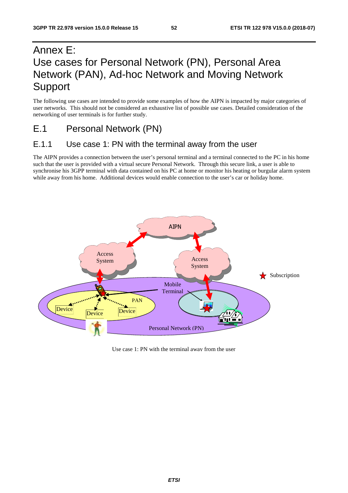# Annex E: Use cases for Personal Network (PN), Personal Area Network (PAN), Ad-hoc Network and Moving Network Support

The following use cases are intended to provide some examples of how the AIPN is impacted by major categories of user networks. This should not be considered an exhaustive list of possible use cases. Detailed consideration of the networking of user terminals is for further study.

# E.1 Personal Network (PN)

## E.1.1 Use case 1: PN with the terminal away from the user

The AIPN provides a connection between the user's personal terminal and a terminal connected to the PC in his home such that the user is provided with a virtual secure Personal Network. Through this secure link, a user is able to synchronise his 3GPP terminal with data contained on his PC at home or monitor his heating or burgular alarm system while away from his home. Additional devices would enable connection to the user's car or holiday home.



Use case 1: PN with the terminal away from the user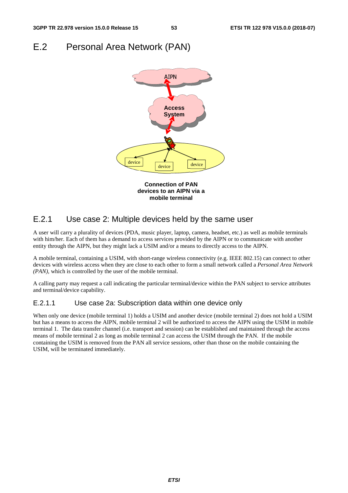# E.2 Personal Area Network (PAN)



## E.2.1 Use case 2: Multiple devices held by the same user

A user will carry a plurality of devices (PDA, music player, laptop, camera, headset, etc.) as well as mobile terminals with him/her. Each of them has a demand to access services provided by the AIPN or to communicate with another entity through the AIPN, but they might lack a USIM and/or a means to directly access to the AIPN.

A mobile terminal, containing a USIM, with short-range wireless connectivity (e.g. IEEE 802.15) can connect to other devices with wireless access when they are close to each other to form a small network called a *Personal Area Network (PAN),* which is controlled by the user of the mobile terminal.

A calling party may request a call indicating the particular terminal/device within the PAN subject to service attributes and terminal/device capability.

### E.2.1.1 Use case 2a: Subscription data within one device only

When only one device (mobile terminal 1) holds a USIM and another device (mobile terminal 2) does not hold a USIM but has a means to access the AIPN, mobile terminal 2 will be authorized to access the AIPN using the USIM in mobile terminal 1. The data transfer channel (i.e. transport and session) can be established and maintained through the access means of mobile terminal 2 as long as mobile terminal 2 can access the USIM through the PAN. If the mobile containing the USIM is removed from the PAN all service sessions, other than those on the mobile containing the USIM, will be terminated immediately.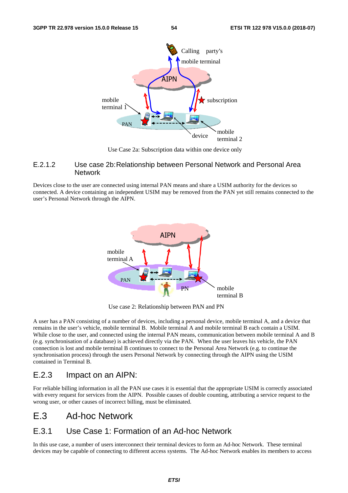

Use Case 2a: Subscription data within one device only

### E.2.1.2 Use case 2b: Relationship between Personal Network and Personal Area Network

Devices close to the user are connected using internal PAN means and share a USIM authority for the devices so connected. A device containing an independent USIM may be removed from the PAN yet still remains connected to the user's Personal Network through the AIPN.



Use case 2: Relationship between PAN and PN

A user has a PAN consisting of a number of devices, including a personal device, mobile terminal A, and a device that remains in the user's vehicle, mobile terminal B. Mobile terminal A and mobile terminal B each contain a USIM. While close to the user, and connected using the internal PAN means, communication between mobile terminal A and B (e.g. synchronisation of a database) is achieved directly via the PAN. When the user leaves his vehicle, the PAN connection is lost and mobile terminal B continues to connect to the Personal Area Network (e.g. to continue the synchronisation process) through the users Personal Network by connecting through the AIPN using the USIM contained in Terminal B.

## E.2.3 Impact on an AIPN:

For reliable billing information in all the PAN use cases it is essential that the appropriate USIM is correctly associated with every request for services from the AIPN. Possible causes of double counting, attributing a service request to the wrong user, or other causes of incorrect billing, must be eliminated.

# E.3 Ad-hoc Network

## E.3.1 Use Case 1: Formation of an Ad-hoc Network

In this use case, a number of users interconnect their terminal devices to form an Ad-hoc Network. These terminal devices may be capable of connecting to different access systems. The Ad-hoc Network enables its members to access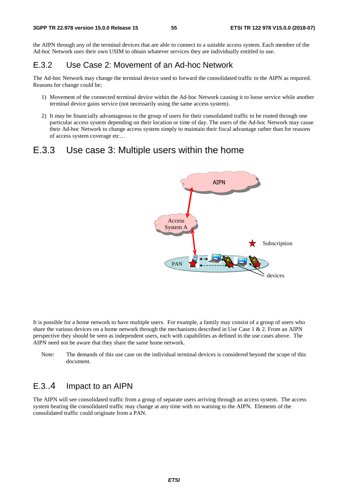the AIPN through any of the terminal devices that are able to connect to a suitable access system. Each member of the Ad-hoc Network uses their own USIM to obtain whatever services they are individually entitled to use.

## E.3.2 Use Case 2: Movement of an Ad-hoc Network

The Ad-hoc Network may change the terminal device used to forward the consolidated traffic to the AIPN as required. Reasons for change could be;

- 1) Movement of the connected terminal device within the Ad-hoc Network causing it to loose service while another terminal device gains service (not necessarily using the same access system).
- 2) It may be financially advantageous to the group of users for their consolidated traffic to be routed through one particular access system depending on their location or time of day. The users of the Ad-hoc Network may cause their Ad-hoc Network to change access system simply to maintain their fiscal advantage rather than for reasons of access system coverage etc…

## E.3.3 Use case 3: Multiple users within the home



It is possible for a home network to have multiple users. For example, a family may consist of a group of users who share the various devices on a home network through the mechanisms described in Use Case 1 & 2. From an AIPN perspective they should be seen as independent users, each with capabilities as defined in the use cases above. The AIPN need not be aware that they share the same home network.

Note: The demands of this use case on the individual terminal devices is considered beyond the scope of this document.

## E.3..4 Impact to an AIPN

The AIPN will see consolidated traffic from a group of separate users arriving through an access system. The access system bearing the consolidated traffic may change at any time with no warning to the AIPN. Elements of the consolidated traffic could originate from a PAN.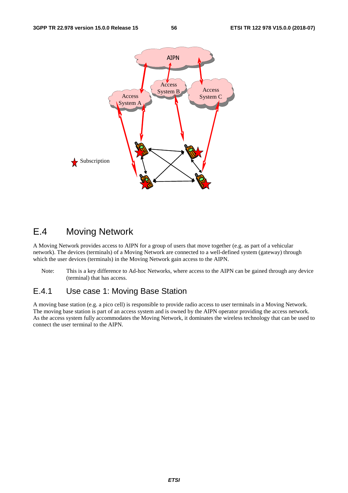

# E.4 Moving Network

A Moving Network provides access to AIPN for a group of users that move together (e.g. as part of a vehicular network). The devices (terminals) of a Moving Network are connected to a well-defined system (gateway) through which the user devices (terminals) in the Moving Network gain access to the AIPN.

Note: This is a key difference to Ad-hoc Networks, where access to the AIPN can be gained through any device (terminal) that has access.

## E.4.1 Use case 1: Moving Base Station

A moving base station (e.g. a pico cell) is responsible to provide radio access to user terminals in a Moving Network. The moving base station is part of an access system and is owned by the AIPN operator providing the access network. As the access system fully accommodates the Moving Network, it dominates the wireless technology that can be used to connect the user terminal to the AIPN.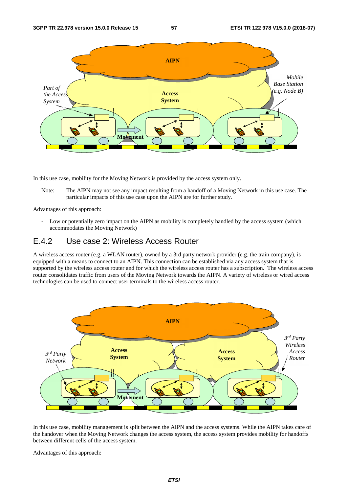

In this use case, mobility for the Moving Network is provided by the access system only.

Note: The AIPN may not see any impact resulting from a handoff of a Moving Network in this use case. The particular impacts of this use case upon the AIPN are for further study.

Advantages of this approach:

- Low or potentially zero impact on the AIPN as mobility is completely handled by the access system (which accommodates the Moving Network)

## E.4.2 Use case 2: Wireless Access Router

A wireless access router (e.g. a WLAN router), owned by a 3rd party network provider (e.g. the train company), is equipped with a means to connect to an AIPN. This connection can be established via any access system that is supported by the wireless access router and for which the wireless access router has a subscription. The wireless access router consolidates traffic from users of the Moving Network towards the AIPN. A variety of wireless or wired access technologies can be used to connect user terminals to the wireless access router.



In this use case, mobility management is split between the AIPN and the access systems. While the AIPN takes care of the handover when the Moving Network changes the access system, the access system provides mobility for handoffs between different cells of the access system.

Advantages of this approach: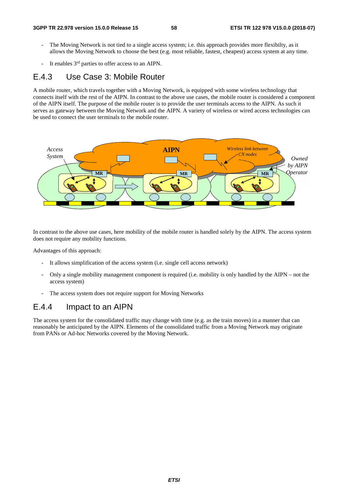- The Moving Network is not tied to a single access system; i.e. this approach provides more flexibilty, as it allows the Moving Network to choose the best (e.g. most reliable, fastest, cheapest) access system at any time.
- It enables 3<sup>rd</sup> parties to offer access to an AIPN.

## E.4.3 Use Case 3: Mobile Router

A mobile router, which travels together with a Moving Network, is equipped with some wireless technology that connects itself with the rest of the AIPN. In contrast to the above use cases, the mobile router is considered a component of the AIPN itself. The purpose of the mobile router is to provide the user terminals access to the AIPN. As such it serves as gateway between the Moving Network and the AIPN. A variety of wireless or wired access technologies can be used to connect the user terminals to the mobile router.



In contrast to the above use cases, here mobility of the mobile router is handled solely by the AIPN. The access system does not require any mobility functions.

Advantages of this approach:

- It allows simplification of the access system (i.e. single cell access network)
- Only a single mobility management component is required (i.e. mobility is only handled by the AIPN not the access system)
- The access system does not require support for Moving Networks

## E.4.4 Impact to an AIPN

The access system for the consolidated traffic may change with time (e.g. as the train moves) in a manner that can reasonably be anticipated by the AIPN. Elements of the consolidated traffic from a Moving Network may originate from PANs or Ad-hoc Networks covered by the Moving Network.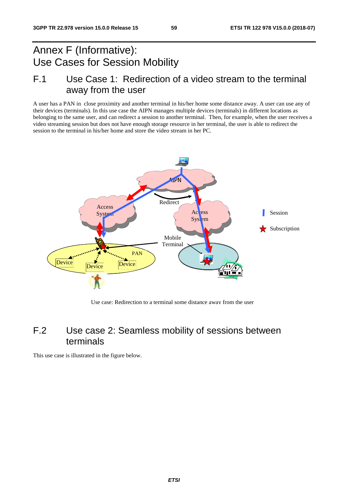# Annex F (Informative): Use Cases for Session Mobility

# F.1 Use Case 1: Redirection of a video stream to the terminal away from the user

A user has a PAN in close proximity and another terminal in his/her home some distance away. A user can use any of their devices (terminals). In this use case the AIPN manages multiple devices (terminals) in different locations as belonging to the same user, and can redirect a session to another terminal. Then, for example, when the user receives a video streaming session but does not have enough storage resource in her terminal, the user is able to redirect the session to the terminal in his/her home and store the video stream in her PC.



Use case: Redirection to a terminal some distance away from the user

# F.2 Use case 2: Seamless mobility of sessions between terminals

This use case is illustrated in the figure below.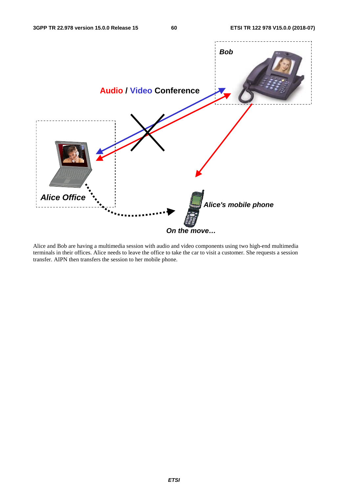

Alice and Bob are having a multimedia session with audio and video components using two high-end multimedia terminals in their offices. Alice needs to leave the office to take the car to visit a customer. She requests a session transfer. AIPN then transfers the session to her mobile phone.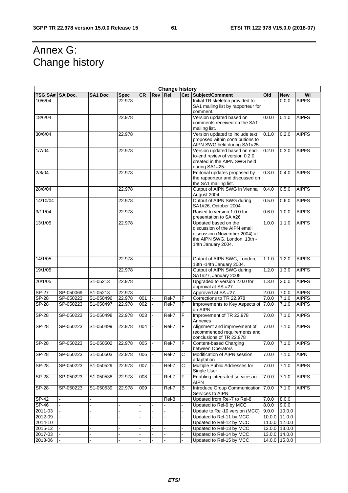$\overline{\phantom{0}}$ 

# Annex G: Change history

| <b>Change history</b> |           |                |                |           |                |       |                |                                                                                                                                             |       |                 |              |
|-----------------------|-----------|----------------|----------------|-----------|----------------|-------|----------------|---------------------------------------------------------------------------------------------------------------------------------------------|-------|-----------------|--------------|
| TSG SA# SA Doc.       |           | <b>SA1 Doc</b> | <b>Spec</b>    | <b>CR</b> | Rev Rel        |       |                | <b>Cat Subject/Comment</b>                                                                                                                  | Old   | <b>New</b>      | WI           |
| 10/6/04               |           |                | 22.978         |           |                |       |                | Initial TR skeleton provided to<br>SA1 mailing list by rapporteur for<br>comment.                                                           |       | 0.0.0           | <b>AIPFS</b> |
| 18/6/04               |           |                | 22.978         |           |                |       |                | Version updated based on<br>comments received on the SA1<br>mailing list.                                                                   | 0.0.0 | 0.1.0           | <b>AIPFS</b> |
| 30/6/04               |           |                | 22.978         |           |                |       |                | Version updated to include text<br>proposed within contributions to<br>AIPN SWG held during SA1#25.                                         | 0.1.0 | 0.2.0           | <b>AIPFS</b> |
| 1/7/04                |           |                | 22.978         |           |                |       |                | Version updated based on end-<br>to-end review of version 0.2.0<br>created in the AIPN SWG held<br>during SA1#25.                           | 0.2.0 | 0.3.0           | <b>AIPFS</b> |
| 2/8/04                |           |                | 22.978         |           |                |       |                | Editorial updates proposed by<br>the rapporteur and discussed on<br>the SA1 mailing list.                                                   | 0.3.0 | 0.4.0           | <b>AIPFS</b> |
| 28/8/04               |           |                | 22.978         |           |                |       |                | Output of AIPN SWG in Vienna<br>August 2004                                                                                                 | 0.4.0 | 0.5.0           | <b>AIPFS</b> |
| 14/10/04              |           |                | 22.978         |           |                |       |                | Output of AIPN SWG during<br>SA1#26, October 2004                                                                                           | 0.5.0 | 0.6.0           | <b>AIPFS</b> |
| 3/11/04               |           |                | 22.978         |           |                |       |                | Raised to version 1.0.0 for<br>presentation to SA #26                                                                                       | 0.6.0 | 1.0.0           | <b>AIPFS</b> |
| 13/1/05               |           |                | 22.978         |           |                |       |                | Updated based on the<br>discussion of the AIPN email<br>discussion (November 2004) at<br>the AIPN SWG, London, 13th -<br>14th January 2004. | 1.0.0 | 1.1.0           | <b>AIPFS</b> |
| 14/1/05               |           |                | 22.978         |           |                |       |                | Output of AIPN SWG, London,<br>13th -14th January 2004.                                                                                     | 1.1.0 | 1.2.0           | <b>AIPFS</b> |
| 19/1/05               |           |                | 22.978         |           |                |       |                | Output of AIPN SWG during<br>SA1#27, January 2005                                                                                           | 1.2.0 | 1.3.0           | <b>AIPFS</b> |
| 20/1/05               |           | S1-05213       | 22.978         |           |                |       |                | Upgraded to version 2.0.0 for<br>approval at SA #27                                                                                         | 1.3.0 | 2.0.0           | <b>AIPFS</b> |
| SP-27                 | SP-050069 | S1-05213       | 22.978         |           |                |       |                | Approved at SA #27                                                                                                                          | 2.0.0 | 7.0.0           | <b>AIPFS</b> |
| <b>SP-28</b>          | SP-050223 | S1-050496      | 22.978         | 001       |                | Rel-7 | F              | Corrections to TR 22.978                                                                                                                    | 7.0.0 | 7.1.0           | <b>AIPFS</b> |
| $SP-28$               | SP-050223 | S1-050497      | 22.978         | 002       |                | Rel-7 | $\overline{F}$ | Improvements to Key Aspects of<br>an AIPN                                                                                                   | 7.0.0 | 7.1.0           | <b>AIPFS</b> |
| $SP-28$               | SP-050223 | S1-050498      | 22.978         | 003       |                | Rel-7 | F              | Improvement of TR 22.978<br>Annexes                                                                                                         | 7.0.0 | 7.1.0           | <b>AIPFS</b> |
| <b>SP-28</b>          | SP-050223 | S1-050499      | 22.978         | 004       | ÷,             | Rel-7 | F              | Alignment and improvement of<br>recommended requirements and<br>conclusions of TR 22.978                                                    | 7.0.0 | 7.1.0           | <b>AIPFS</b> |
| <b>SP-28</b>          | SP-050223 | S1-050502      | 22.978         | 005       |                | Rel-7 | $\mathsf F$    | Content-based Charging<br>between Operators                                                                                                 | 7.0.0 | 7.1.0           | <b>AIPFS</b> |
| <b>SP-28</b>          | SP-050223 | S1-050503      | 22.978         | 006       |                | Rel-7 | С              | Modification of AIPN session<br>adaptation                                                                                                  | 7.0.0 | 7.1.0           | <b>AIPN</b>  |
| <b>SP-28</b>          | SP-050223 | S1-050529      | 22.978         | 007       |                | Rel-7 | C              | Multiple Public Addresses for<br>Single User                                                                                                | 7.0.0 | 7.1.0           | <b>AIPFS</b> |
| $SP-28$               | SP-050223 | S1-050538      | 22.978         | 008       |                | Rel-7 | F              | Enabling integrated services in<br><b>AIPN</b>                                                                                              | 7.0.0 | 7.1.0           | <b>AIPFS</b> |
| <b>SP-28</b>          | SP-050223 | S1-050539      | 22.978         | 009       | $\blacksquare$ | Rel-7 | B              | Introduce Group Communication<br>Services to AIPN                                                                                           | 7.0.0 | 7.1.0           | <b>AIPFS</b> |
| SP-42                 |           |                |                |           |                | Rel-8 |                | Updated from Rel-7 to Rel-8                                                                                                                 | 7.0.0 | 8.0.0           |              |
| SP-46                 |           |                |                |           |                |       |                | Updated to Rel-9 by MCC                                                                                                                     | 8.0.0 | 9.0.0           |              |
| 2011-03               |           |                |                |           |                |       |                | Update to Rel-10 version (MCC)                                                                                                              | 9.0.0 | 10.0.0          |              |
| 2012-09               |           |                |                |           |                |       |                | Updated to Rel-11 by MCC                                                                                                                    |       | 10.0.0 11.0.0   |              |
| 2014-10               |           |                |                |           |                |       |                | Updated to Rel-12 by MCC                                                                                                                    |       | 11.0.0 12.0.0   |              |
| 2015-12               |           |                | $\blacksquare$ |           |                |       |                | Updated to Rel-13 by MCC                                                                                                                    |       | $12.0.0$ 13.0.0 |              |
| 2017-03               |           |                |                |           |                |       |                | Updated to Rel-14 by MCC                                                                                                                    |       | 13.0.0 14.0.0   |              |
| 2018-06               |           |                |                |           |                |       |                | Updated to Rel-15 by MCC                                                                                                                    |       | 14.0.0 15.0.0   |              |